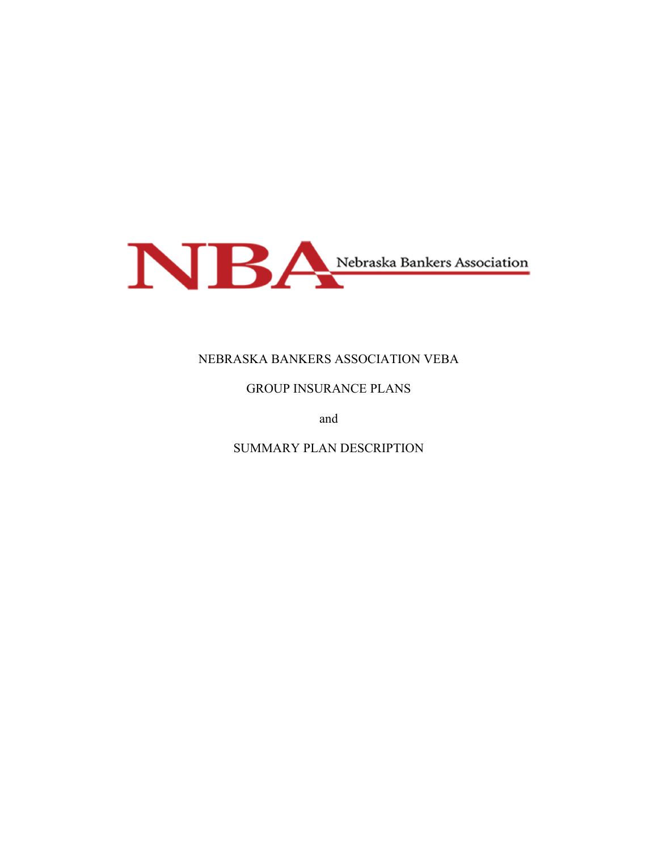

# NEBRASKA BANKERS ASSOCIATION VEBA

## GROUP INSURANCE PLANS

and

SUMMARY PLAN DESCRIPTION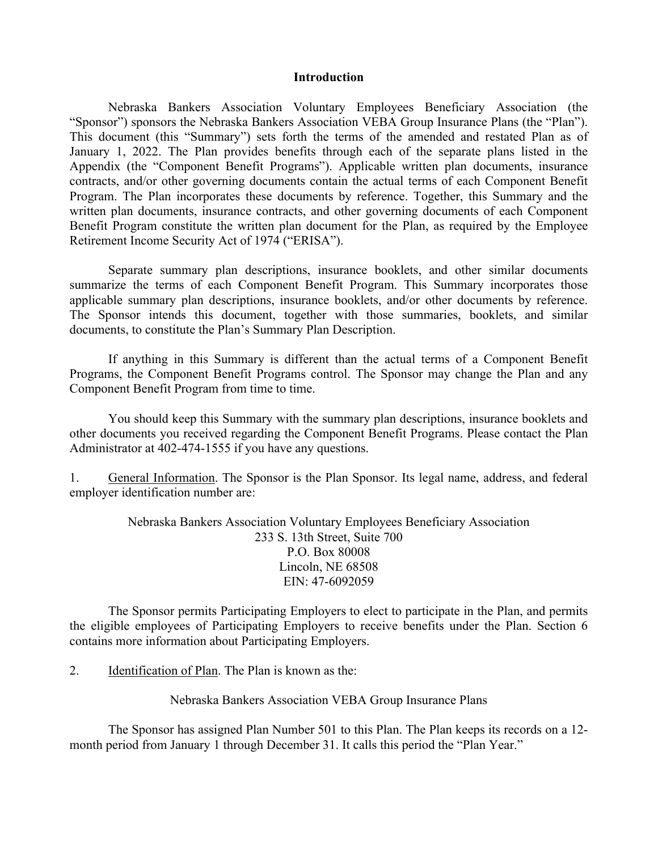#### **Introduction**

Nebraska Bankers Association Voluntary Employees Beneficiary Association (the "Sponsor") sponsors the Nebraska Bankers Association VEBA Group Insurance Plans (the "Plan"). This document (this "Summary") sets forth the terms of the amended and restated Plan as of January 1, 2022. The Plan provides benefits through each of the separate plans listed in the Appendix (the "Component Benefit Programs"). Applicable written plan documents, insurance contracts, and/or other governing documents contain the actual terms of each Component Benefit Program. The Plan incorporates these documents by reference. Together, this Summary and the written plan documents, insurance contracts, and other governing documents of each Component Benefit Program constitute the written plan document for the Plan, as required by the Employee Retirement Income Security Act of 1974 ("ERISA").

Separate summary plan descriptions, insurance booklets, and other similar documents summarize the terms of each Component Benefit Program. This Summary incorporates those applicable summary plan descriptions, insurance booklets, and/or other documents by reference. The Sponsor intends this document, together with those summaries, booklets, and similar documents, to constitute the Plan's Summary Plan Description.

If anything in this Summary is different than the actual terms of a Component Benefit Programs, the Component Benefit Programs control. The Sponsor may change the Plan and any Component Benefit Program from time to time.

You should keep this Summary with the summary plan descriptions, insurance booklets and other documents you received regarding the Component Benefit Programs. Please contact the Plan Administrator at 402-474-1555 if you have any questions.

1. General Information. The Sponsor is the Plan Sponsor. Its legal name, address, and federal employer identification number are:

> Nebraska Bankers Association Voluntary Employees Beneficiary Association 233 S. 13th Street, Suite 700 P.O. Box 80008 Lincoln, NE 68508 EIN: 47-6092059

The Sponsor permits Participating Employers to elect to participate in the Plan, and permits the eligible employees of Participating Employers to receive benefits under the Plan. Section 6 contains more information about Participating Employers.

2. Identification of Plan. The Plan is known as the:

Nebraska Bankers Association VEBA Group Insurance Plans

 The Sponsor has assigned Plan Number 501 to this Plan. The Plan keeps its records on a 12 month period from January 1 through December 31. It calls this period the "Plan Year."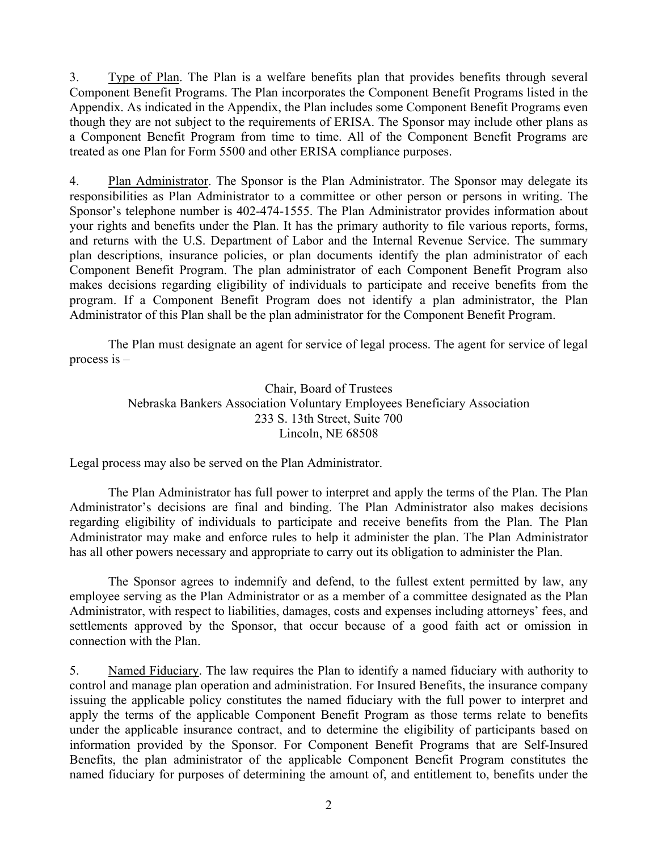3. Type of Plan. The Plan is a welfare benefits plan that provides benefits through several Component Benefit Programs. The Plan incorporates the Component Benefit Programs listed in the Appendix. As indicated in the Appendix, the Plan includes some Component Benefit Programs even though they are not subject to the requirements of ERISA. The Sponsor may include other plans as a Component Benefit Program from time to time. All of the Component Benefit Programs are treated as one Plan for Form 5500 and other ERISA compliance purposes.

4. Plan Administrator. The Sponsor is the Plan Administrator. The Sponsor may delegate its responsibilities as Plan Administrator to a committee or other person or persons in writing. The Sponsor's telephone number is 402-474-1555. The Plan Administrator provides information about your rights and benefits under the Plan. It has the primary authority to file various reports, forms, and returns with the U.S. Department of Labor and the Internal Revenue Service. The summary plan descriptions, insurance policies, or plan documents identify the plan administrator of each Component Benefit Program. The plan administrator of each Component Benefit Program also makes decisions regarding eligibility of individuals to participate and receive benefits from the program. If a Component Benefit Program does not identify a plan administrator, the Plan Administrator of this Plan shall be the plan administrator for the Component Benefit Program.

 The Plan must designate an agent for service of legal process. The agent for service of legal process is –

> Chair, Board of Trustees Nebraska Bankers Association Voluntary Employees Beneficiary Association 233 S. 13th Street, Suite 700 Lincoln, NE 68508

Legal process may also be served on the Plan Administrator.

 The Plan Administrator has full power to interpret and apply the terms of the Plan. The Plan Administrator's decisions are final and binding. The Plan Administrator also makes decisions regarding eligibility of individuals to participate and receive benefits from the Plan. The Plan Administrator may make and enforce rules to help it administer the plan. The Plan Administrator has all other powers necessary and appropriate to carry out its obligation to administer the Plan.

 The Sponsor agrees to indemnify and defend, to the fullest extent permitted by law, any employee serving as the Plan Administrator or as a member of a committee designated as the Plan Administrator, with respect to liabilities, damages, costs and expenses including attorneys' fees, and settlements approved by the Sponsor, that occur because of a good faith act or omission in connection with the Plan.

5. Named Fiduciary. The law requires the Plan to identify a named fiduciary with authority to control and manage plan operation and administration. For Insured Benefits, the insurance company issuing the applicable policy constitutes the named fiduciary with the full power to interpret and apply the terms of the applicable Component Benefit Program as those terms relate to benefits under the applicable insurance contract, and to determine the eligibility of participants based on information provided by the Sponsor. For Component Benefit Programs that are Self-Insured Benefits, the plan administrator of the applicable Component Benefit Program constitutes the named fiduciary for purposes of determining the amount of, and entitlement to, benefits under the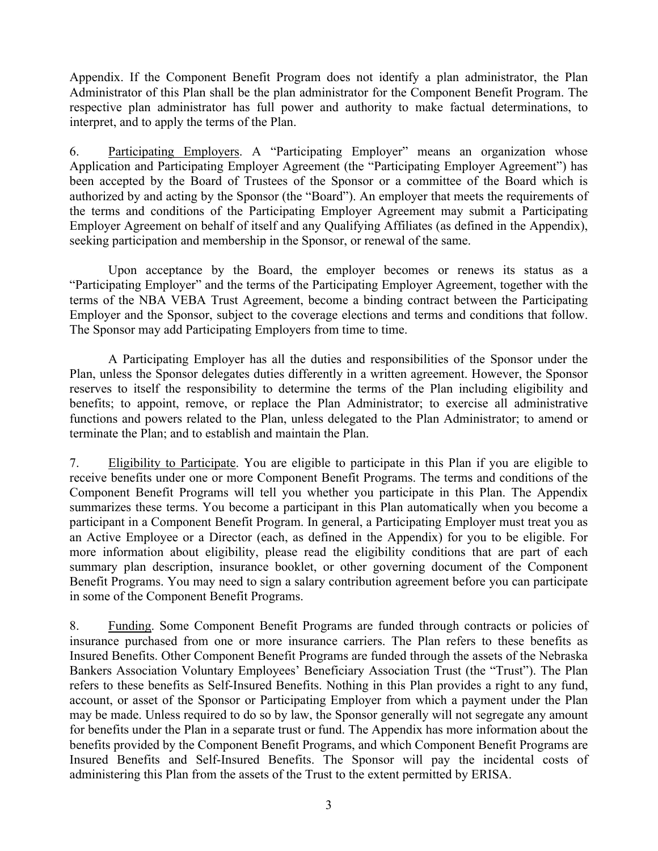Appendix. If the Component Benefit Program does not identify a plan administrator, the Plan Administrator of this Plan shall be the plan administrator for the Component Benefit Program. The respective plan administrator has full power and authority to make factual determinations, to interpret, and to apply the terms of the Plan.

6. Participating Employers. A "Participating Employer" means an organization whose Application and Participating Employer Agreement (the "Participating Employer Agreement") has been accepted by the Board of Trustees of the Sponsor or a committee of the Board which is authorized by and acting by the Sponsor (the "Board"). An employer that meets the requirements of the terms and conditions of the Participating Employer Agreement may submit a Participating Employer Agreement on behalf of itself and any Qualifying Affiliates (as defined in the Appendix), seeking participation and membership in the Sponsor, or renewal of the same.

Upon acceptance by the Board, the employer becomes or renews its status as a "Participating Employer" and the terms of the Participating Employer Agreement, together with the terms of the NBA VEBA Trust Agreement, become a binding contract between the Participating Employer and the Sponsor, subject to the coverage elections and terms and conditions that follow. The Sponsor may add Participating Employers from time to time.

A Participating Employer has all the duties and responsibilities of the Sponsor under the Plan, unless the Sponsor delegates duties differently in a written agreement. However, the Sponsor reserves to itself the responsibility to determine the terms of the Plan including eligibility and benefits; to appoint, remove, or replace the Plan Administrator; to exercise all administrative functions and powers related to the Plan, unless delegated to the Plan Administrator; to amend or terminate the Plan; and to establish and maintain the Plan.

7. Eligibility to Participate. You are eligible to participate in this Plan if you are eligible to receive benefits under one or more Component Benefit Programs. The terms and conditions of the Component Benefit Programs will tell you whether you participate in this Plan. The Appendix summarizes these terms. You become a participant in this Plan automatically when you become a participant in a Component Benefit Program. In general, a Participating Employer must treat you as an Active Employee or a Director (each, as defined in the Appendix) for you to be eligible. For more information about eligibility, please read the eligibility conditions that are part of each summary plan description, insurance booklet, or other governing document of the Component Benefit Programs. You may need to sign a salary contribution agreement before you can participate in some of the Component Benefit Programs.

8. Funding. Some Component Benefit Programs are funded through contracts or policies of insurance purchased from one or more insurance carriers. The Plan refers to these benefits as Insured Benefits. Other Component Benefit Programs are funded through the assets of the Nebraska Bankers Association Voluntary Employees' Beneficiary Association Trust (the "Trust"). The Plan refers to these benefits as Self-Insured Benefits. Nothing in this Plan provides a right to any fund, account, or asset of the Sponsor or Participating Employer from which a payment under the Plan may be made. Unless required to do so by law, the Sponsor generally will not segregate any amount for benefits under the Plan in a separate trust or fund. The Appendix has more information about the benefits provided by the Component Benefit Programs, and which Component Benefit Programs are Insured Benefits and Self-Insured Benefits. The Sponsor will pay the incidental costs of administering this Plan from the assets of the Trust to the extent permitted by ERISA.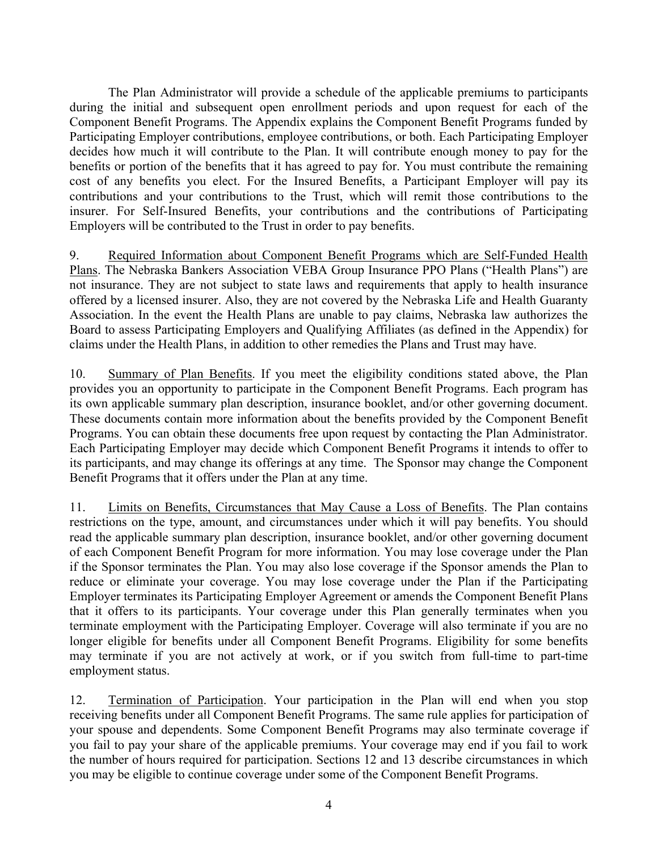The Plan Administrator will provide a schedule of the applicable premiums to participants during the initial and subsequent open enrollment periods and upon request for each of the Component Benefit Programs. The Appendix explains the Component Benefit Programs funded by Participating Employer contributions, employee contributions, or both. Each Participating Employer decides how much it will contribute to the Plan. It will contribute enough money to pay for the benefits or portion of the benefits that it has agreed to pay for. You must contribute the remaining cost of any benefits you elect. For the Insured Benefits, a Participant Employer will pay its contributions and your contributions to the Trust, which will remit those contributions to the insurer. For Self-Insured Benefits, your contributions and the contributions of Participating Employers will be contributed to the Trust in order to pay benefits.

9. Required Information about Component Benefit Programs which are Self-Funded Health Plans. The Nebraska Bankers Association VEBA Group Insurance PPO Plans ("Health Plans") are not insurance. They are not subject to state laws and requirements that apply to health insurance offered by a licensed insurer. Also, they are not covered by the Nebraska Life and Health Guaranty Association. In the event the Health Plans are unable to pay claims, Nebraska law authorizes the Board to assess Participating Employers and Qualifying Affiliates (as defined in the Appendix) for claims under the Health Plans, in addition to other remedies the Plans and Trust may have.

10. Summary of Plan Benefits. If you meet the eligibility conditions stated above, the Plan provides you an opportunity to participate in the Component Benefit Programs. Each program has its own applicable summary plan description, insurance booklet, and/or other governing document. These documents contain more information about the benefits provided by the Component Benefit Programs. You can obtain these documents free upon request by contacting the Plan Administrator. Each Participating Employer may decide which Component Benefit Programs it intends to offer to its participants, and may change its offerings at any time. The Sponsor may change the Component Benefit Programs that it offers under the Plan at any time.

11. Limits on Benefits, Circumstances that May Cause a Loss of Benefits. The Plan contains restrictions on the type, amount, and circumstances under which it will pay benefits. You should read the applicable summary plan description, insurance booklet, and/or other governing document of each Component Benefit Program for more information. You may lose coverage under the Plan if the Sponsor terminates the Plan. You may also lose coverage if the Sponsor amends the Plan to reduce or eliminate your coverage. You may lose coverage under the Plan if the Participating Employer terminates its Participating Employer Agreement or amends the Component Benefit Plans that it offers to its participants. Your coverage under this Plan generally terminates when you terminate employment with the Participating Employer. Coverage will also terminate if you are no longer eligible for benefits under all Component Benefit Programs. Eligibility for some benefits may terminate if you are not actively at work, or if you switch from full-time to part-time employment status.

12. Termination of Participation. Your participation in the Plan will end when you stop receiving benefits under all Component Benefit Programs. The same rule applies for participation of your spouse and dependents. Some Component Benefit Programs may also terminate coverage if you fail to pay your share of the applicable premiums. Your coverage may end if you fail to work the number of hours required for participation. Sections 12 and 13 describe circumstances in which you may be eligible to continue coverage under some of the Component Benefit Programs.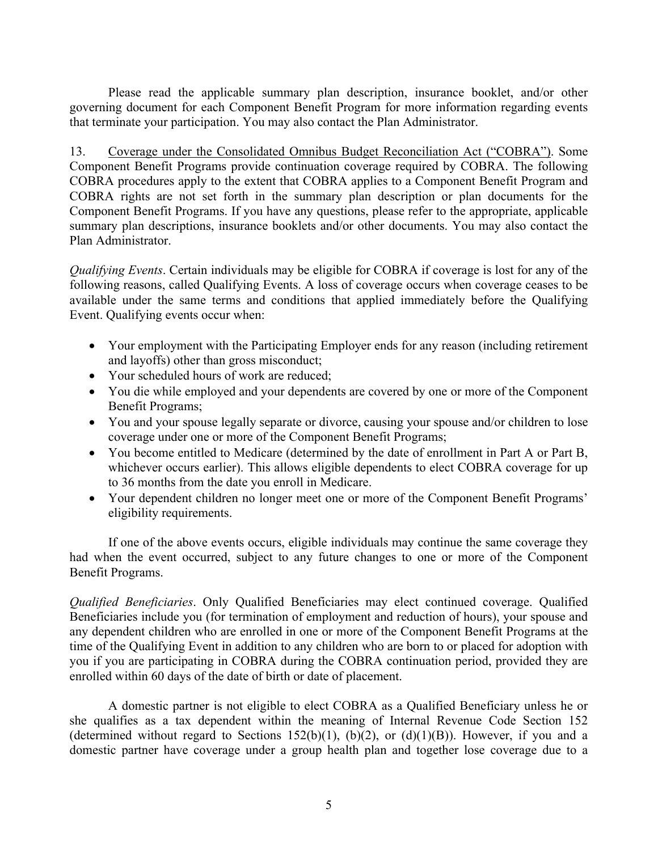Please read the applicable summary plan description, insurance booklet, and/or other governing document for each Component Benefit Program for more information regarding events that terminate your participation. You may also contact the Plan Administrator.

13. Coverage under the Consolidated Omnibus Budget Reconciliation Act ("COBRA"). Some Component Benefit Programs provide continuation coverage required by COBRA. The following COBRA procedures apply to the extent that COBRA applies to a Component Benefit Program and COBRA rights are not set forth in the summary plan description or plan documents for the Component Benefit Programs. If you have any questions, please refer to the appropriate, applicable summary plan descriptions, insurance booklets and/or other documents. You may also contact the Plan Administrator.

*Qualifying Events*. Certain individuals may be eligible for COBRA if coverage is lost for any of the following reasons, called Qualifying Events. A loss of coverage occurs when coverage ceases to be available under the same terms and conditions that applied immediately before the Qualifying Event. Qualifying events occur when:

- Your employment with the Participating Employer ends for any reason (including retirement and layoffs) other than gross misconduct;
- Your scheduled hours of work are reduced;
- You die while employed and your dependents are covered by one or more of the Component Benefit Programs;
- You and your spouse legally separate or divorce, causing your spouse and/or children to lose coverage under one or more of the Component Benefit Programs;
- You become entitled to Medicare (determined by the date of enrollment in Part A or Part B, whichever occurs earlier). This allows eligible dependents to elect COBRA coverage for up to 36 months from the date you enroll in Medicare.
- Your dependent children no longer meet one or more of the Component Benefit Programs' eligibility requirements.

 If one of the above events occurs, eligible individuals may continue the same coverage they had when the event occurred, subject to any future changes to one or more of the Component Benefit Programs.

*Qualified Beneficiaries*. Only Qualified Beneficiaries may elect continued coverage. Qualified Beneficiaries include you (for termination of employment and reduction of hours), your spouse and any dependent children who are enrolled in one or more of the Component Benefit Programs at the time of the Qualifying Event in addition to any children who are born to or placed for adoption with you if you are participating in COBRA during the COBRA continuation period, provided they are enrolled within 60 days of the date of birth or date of placement.

 A domestic partner is not eligible to elect COBRA as a Qualified Beneficiary unless he or she qualifies as a tax dependent within the meaning of Internal Revenue Code Section 152 (determined without regard to Sections 152(b)(1), (b)(2), or (d)(1)(B)). However, if you and a domestic partner have coverage under a group health plan and together lose coverage due to a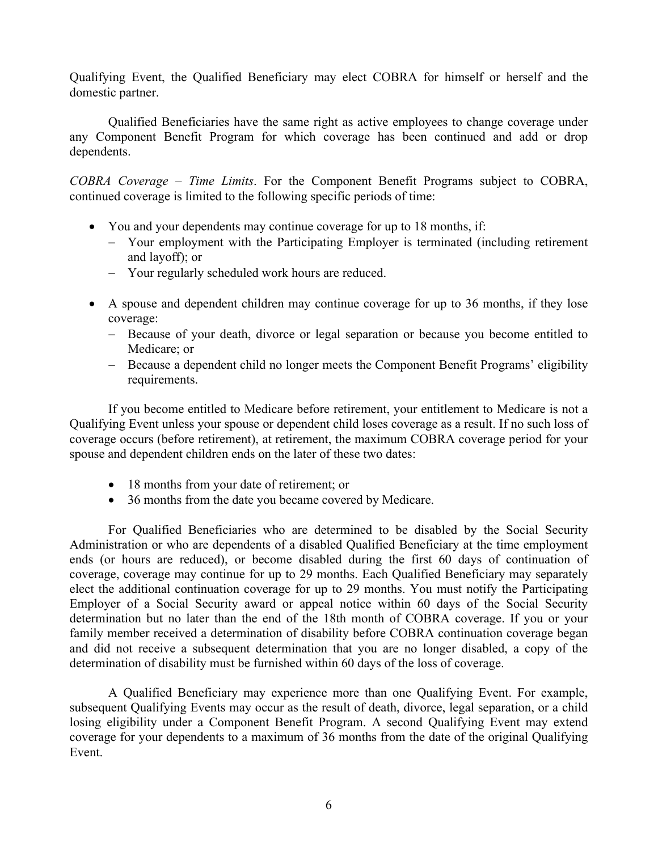Qualifying Event, the Qualified Beneficiary may elect COBRA for himself or herself and the domestic partner.

 Qualified Beneficiaries have the same right as active employees to change coverage under any Component Benefit Program for which coverage has been continued and add or drop dependents.

*COBRA Coverage – Time Limits*. For the Component Benefit Programs subject to COBRA, continued coverage is limited to the following specific periods of time:

- You and your dependents may continue coverage for up to 18 months, if:
	- Your employment with the Participating Employer is terminated (including retirement and layoff); or
	- Your regularly scheduled work hours are reduced.
- A spouse and dependent children may continue coverage for up to 36 months, if they lose coverage:
	- Because of your death, divorce or legal separation or because you become entitled to Medicare; or
	- Because a dependent child no longer meets the Component Benefit Programs' eligibility requirements.

 If you become entitled to Medicare before retirement, your entitlement to Medicare is not a Qualifying Event unless your spouse or dependent child loses coverage as a result. If no such loss of coverage occurs (before retirement), at retirement, the maximum COBRA coverage period for your spouse and dependent children ends on the later of these two dates:

- 18 months from your date of retirement; or
- 36 months from the date you became covered by Medicare.

 For Qualified Beneficiaries who are determined to be disabled by the Social Security Administration or who are dependents of a disabled Qualified Beneficiary at the time employment ends (or hours are reduced), or become disabled during the first 60 days of continuation of coverage, coverage may continue for up to 29 months. Each Qualified Beneficiary may separately elect the additional continuation coverage for up to 29 months. You must notify the Participating Employer of a Social Security award or appeal notice within 60 days of the Social Security determination but no later than the end of the 18th month of COBRA coverage. If you or your family member received a determination of disability before COBRA continuation coverage began and did not receive a subsequent determination that you are no longer disabled, a copy of the determination of disability must be furnished within 60 days of the loss of coverage.

A Qualified Beneficiary may experience more than one Qualifying Event. For example, subsequent Qualifying Events may occur as the result of death, divorce, legal separation, or a child losing eligibility under a Component Benefit Program. A second Qualifying Event may extend coverage for your dependents to a maximum of 36 months from the date of the original Qualifying Event.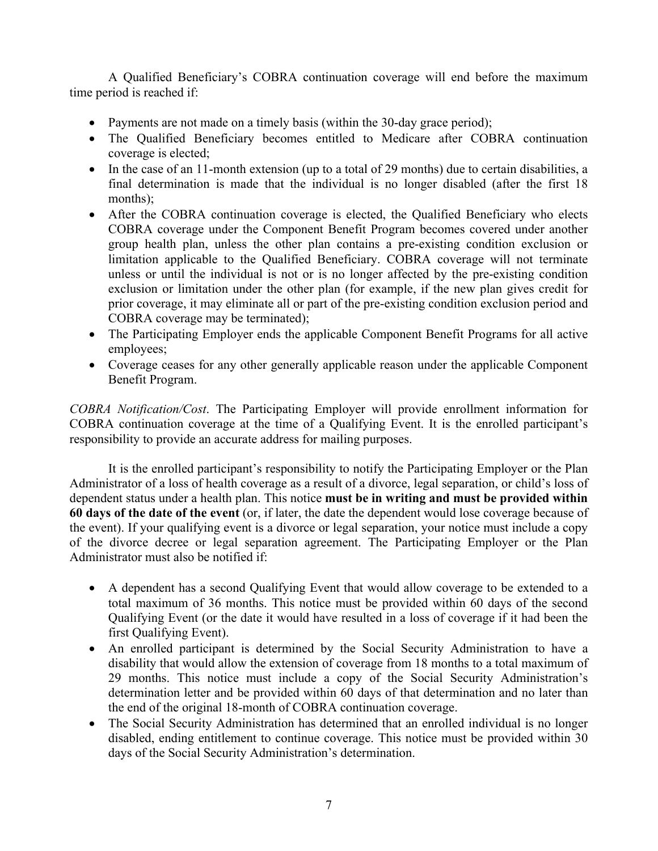A Qualified Beneficiary's COBRA continuation coverage will end before the maximum time period is reached if:

- Payments are not made on a timely basis (within the 30-day grace period);
- The Qualified Beneficiary becomes entitled to Medicare after COBRA continuation coverage is elected;
- In the case of an 11-month extension (up to a total of 29 months) due to certain disabilities, a final determination is made that the individual is no longer disabled (after the first 18 months);
- After the COBRA continuation coverage is elected, the Qualified Beneficiary who elects COBRA coverage under the Component Benefit Program becomes covered under another group health plan, unless the other plan contains a pre-existing condition exclusion or limitation applicable to the Qualified Beneficiary. COBRA coverage will not terminate unless or until the individual is not or is no longer affected by the pre-existing condition exclusion or limitation under the other plan (for example, if the new plan gives credit for prior coverage, it may eliminate all or part of the pre-existing condition exclusion period and COBRA coverage may be terminated);
- The Participating Employer ends the applicable Component Benefit Programs for all active employees;
- Coverage ceases for any other generally applicable reason under the applicable Component Benefit Program.

*COBRA Notification/Cost*. The Participating Employer will provide enrollment information for COBRA continuation coverage at the time of a Qualifying Event. It is the enrolled participant's responsibility to provide an accurate address for mailing purposes.

It is the enrolled participant's responsibility to notify the Participating Employer or the Plan Administrator of a loss of health coverage as a result of a divorce, legal separation, or child's loss of dependent status under a health plan. This notice **must be in writing and must be provided within 60 days of the date of the event** (or, if later, the date the dependent would lose coverage because of the event). If your qualifying event is a divorce or legal separation, your notice must include a copy of the divorce decree or legal separation agreement. The Participating Employer or the Plan Administrator must also be notified if:

- A dependent has a second Qualifying Event that would allow coverage to be extended to a total maximum of 36 months. This notice must be provided within 60 days of the second Qualifying Event (or the date it would have resulted in a loss of coverage if it had been the first Qualifying Event).
- An enrolled participant is determined by the Social Security Administration to have a disability that would allow the extension of coverage from 18 months to a total maximum of 29 months. This notice must include a copy of the Social Security Administration's determination letter and be provided within 60 days of that determination and no later than the end of the original 18-month of COBRA continuation coverage.
- The Social Security Administration has determined that an enrolled individual is no longer disabled, ending entitlement to continue coverage. This notice must be provided within 30 days of the Social Security Administration's determination.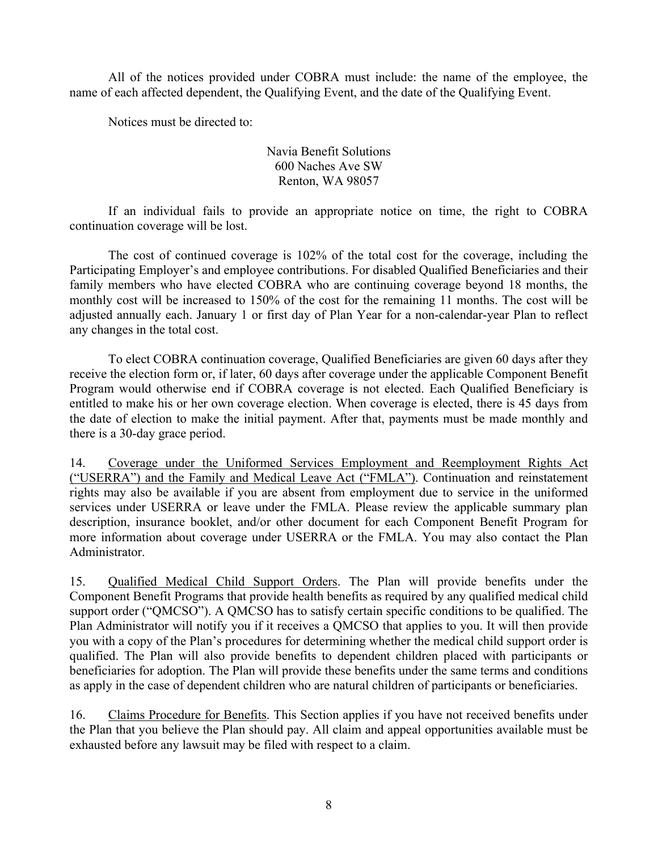All of the notices provided under COBRA must include: the name of the employee, the name of each affected dependent, the Qualifying Event, and the date of the Qualifying Event.

Notices must be directed to:

Navia Benefit Solutions 600 Naches Ave SW Renton, WA 98057

 If an individual fails to provide an appropriate notice on time, the right to COBRA continuation coverage will be lost.

 The cost of continued coverage is 102% of the total cost for the coverage, including the Participating Employer's and employee contributions. For disabled Qualified Beneficiaries and their family members who have elected COBRA who are continuing coverage beyond 18 months, the monthly cost will be increased to 150% of the cost for the remaining 11 months. The cost will be adjusted annually each. January 1 or first day of Plan Year for a non-calendar-year Plan to reflect any changes in the total cost.

To elect COBRA continuation coverage, Qualified Beneficiaries are given 60 days after they receive the election form or, if later, 60 days after coverage under the applicable Component Benefit Program would otherwise end if COBRA coverage is not elected. Each Qualified Beneficiary is entitled to make his or her own coverage election. When coverage is elected, there is 45 days from the date of election to make the initial payment. After that, payments must be made monthly and there is a 30-day grace period.

14. Coverage under the Uniformed Services Employment and Reemployment Rights Act ("USERRA") and the Family and Medical Leave Act ("FMLA"). Continuation and reinstatement rights may also be available if you are absent from employment due to service in the uniformed services under USERRA or leave under the FMLA. Please review the applicable summary plan description, insurance booklet, and/or other document for each Component Benefit Program for more information about coverage under USERRA or the FMLA. You may also contact the Plan Administrator.

15. Qualified Medical Child Support Orders. The Plan will provide benefits under the Component Benefit Programs that provide health benefits as required by any qualified medical child support order ("QMCSO"). A QMCSO has to satisfy certain specific conditions to be qualified. The Plan Administrator will notify you if it receives a QMCSO that applies to you. It will then provide you with a copy of the Plan's procedures for determining whether the medical child support order is qualified. The Plan will also provide benefits to dependent children placed with participants or beneficiaries for adoption. The Plan will provide these benefits under the same terms and conditions as apply in the case of dependent children who are natural children of participants or beneficiaries.

16. Claims Procedure for Benefits. This Section applies if you have not received benefits under the Plan that you believe the Plan should pay. All claim and appeal opportunities available must be exhausted before any lawsuit may be filed with respect to a claim.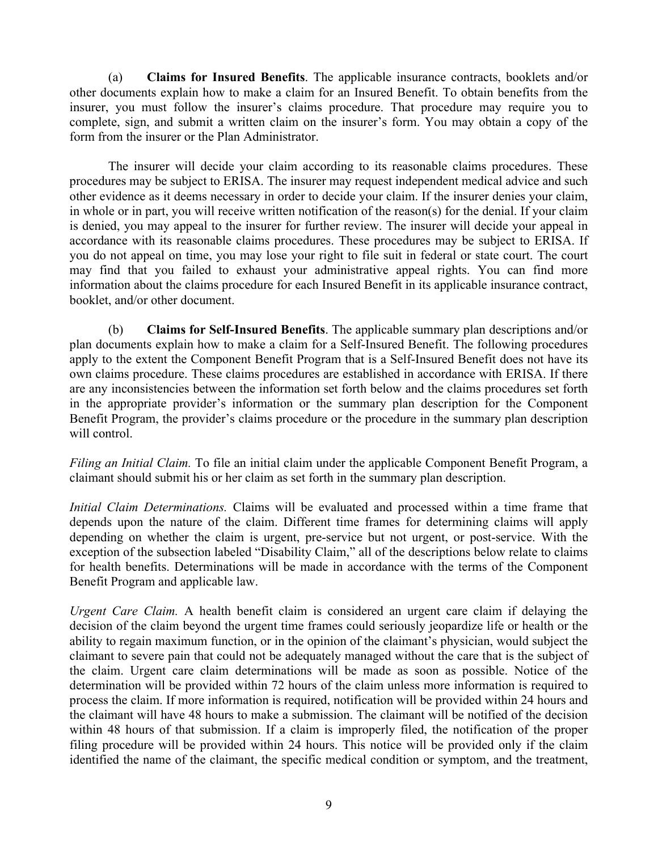(a) **Claims for Insured Benefits**. The applicable insurance contracts, booklets and/or other documents explain how to make a claim for an Insured Benefit. To obtain benefits from the insurer, you must follow the insurer's claims procedure. That procedure may require you to complete, sign, and submit a written claim on the insurer's form. You may obtain a copy of the form from the insurer or the Plan Administrator.

 The insurer will decide your claim according to its reasonable claims procedures. These procedures may be subject to ERISA. The insurer may request independent medical advice and such other evidence as it deems necessary in order to decide your claim. If the insurer denies your claim, in whole or in part, you will receive written notification of the reason(s) for the denial. If your claim is denied, you may appeal to the insurer for further review. The insurer will decide your appeal in accordance with its reasonable claims procedures. These procedures may be subject to ERISA. If you do not appeal on time, you may lose your right to file suit in federal or state court. The court may find that you failed to exhaust your administrative appeal rights. You can find more information about the claims procedure for each Insured Benefit in its applicable insurance contract, booklet, and/or other document.

(b) **Claims for Self-Insured Benefits**. The applicable summary plan descriptions and/or plan documents explain how to make a claim for a Self-Insured Benefit. The following procedures apply to the extent the Component Benefit Program that is a Self-Insured Benefit does not have its own claims procedure. These claims procedures are established in accordance with ERISA. If there are any inconsistencies between the information set forth below and the claims procedures set forth in the appropriate provider's information or the summary plan description for the Component Benefit Program, the provider's claims procedure or the procedure in the summary plan description will control.

*Filing an Initial Claim.* To file an initial claim under the applicable Component Benefit Program, a claimant should submit his or her claim as set forth in the summary plan description.

*Initial Claim Determinations.* Claims will be evaluated and processed within a time frame that depends upon the nature of the claim. Different time frames for determining claims will apply depending on whether the claim is urgent, pre-service but not urgent, or post-service. With the exception of the subsection labeled "Disability Claim," all of the descriptions below relate to claims for health benefits. Determinations will be made in accordance with the terms of the Component Benefit Program and applicable law.

*Urgent Care Claim.* A health benefit claim is considered an urgent care claim if delaying the decision of the claim beyond the urgent time frames could seriously jeopardize life or health or the ability to regain maximum function, or in the opinion of the claimant's physician, would subject the claimant to severe pain that could not be adequately managed without the care that is the subject of the claim. Urgent care claim determinations will be made as soon as possible. Notice of the determination will be provided within 72 hours of the claim unless more information is required to process the claim. If more information is required, notification will be provided within 24 hours and the claimant will have 48 hours to make a submission. The claimant will be notified of the decision within 48 hours of that submission. If a claim is improperly filed, the notification of the proper filing procedure will be provided within 24 hours. This notice will be provided only if the claim identified the name of the claimant, the specific medical condition or symptom, and the treatment,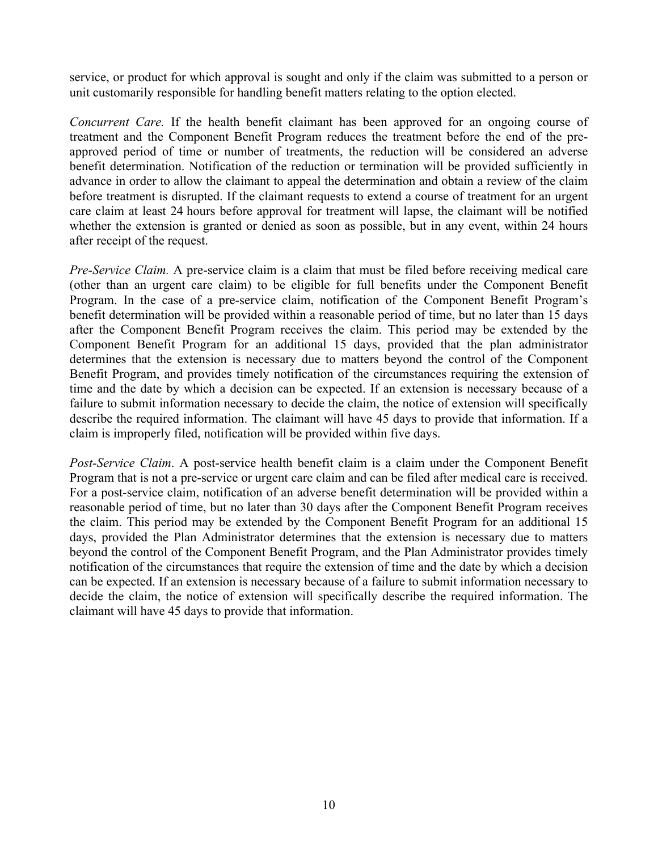service, or product for which approval is sought and only if the claim was submitted to a person or unit customarily responsible for handling benefit matters relating to the option elected.

*Concurrent Care.* If the health benefit claimant has been approved for an ongoing course of treatment and the Component Benefit Program reduces the treatment before the end of the preapproved period of time or number of treatments, the reduction will be considered an adverse benefit determination. Notification of the reduction or termination will be provided sufficiently in advance in order to allow the claimant to appeal the determination and obtain a review of the claim before treatment is disrupted. If the claimant requests to extend a course of treatment for an urgent care claim at least 24 hours before approval for treatment will lapse, the claimant will be notified whether the extension is granted or denied as soon as possible, but in any event, within 24 hours after receipt of the request.

*Pre-Service Claim.* A pre-service claim is a claim that must be filed before receiving medical care (other than an urgent care claim) to be eligible for full benefits under the Component Benefit Program. In the case of a pre-service claim, notification of the Component Benefit Program's benefit determination will be provided within a reasonable period of time, but no later than 15 days after the Component Benefit Program receives the claim. This period may be extended by the Component Benefit Program for an additional 15 days, provided that the plan administrator determines that the extension is necessary due to matters beyond the control of the Component Benefit Program, and provides timely notification of the circumstances requiring the extension of time and the date by which a decision can be expected. If an extension is necessary because of a failure to submit information necessary to decide the claim, the notice of extension will specifically describe the required information. The claimant will have 45 days to provide that information. If a claim is improperly filed, notification will be provided within five days.

*Post-Service Claim*. A post-service health benefit claim is a claim under the Component Benefit Program that is not a pre-service or urgent care claim and can be filed after medical care is received. For a post-service claim, notification of an adverse benefit determination will be provided within a reasonable period of time, but no later than 30 days after the Component Benefit Program receives the claim. This period may be extended by the Component Benefit Program for an additional 15 days, provided the Plan Administrator determines that the extension is necessary due to matters beyond the control of the Component Benefit Program, and the Plan Administrator provides timely notification of the circumstances that require the extension of time and the date by which a decision can be expected. If an extension is necessary because of a failure to submit information necessary to decide the claim, the notice of extension will specifically describe the required information. The claimant will have 45 days to provide that information.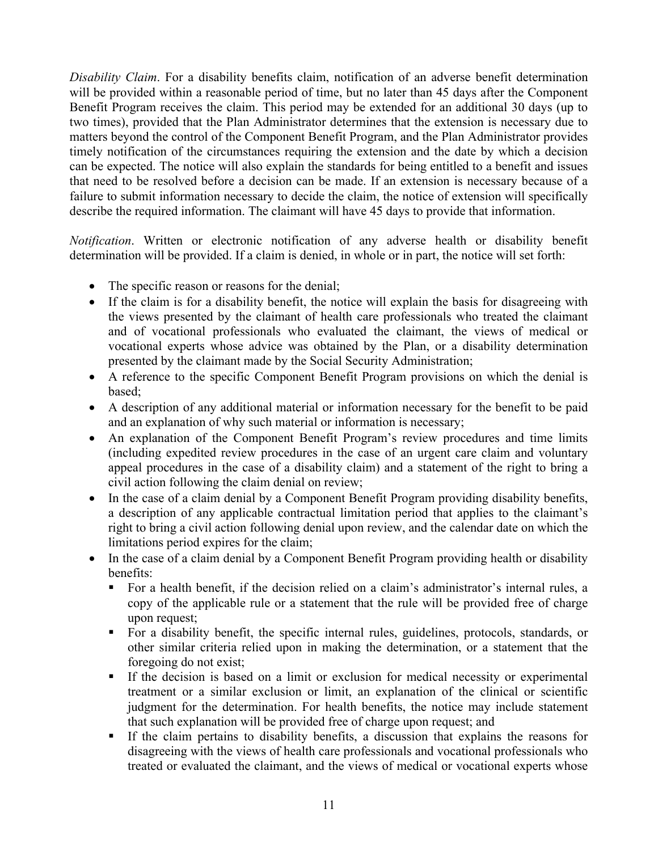*Disability Claim*. For a disability benefits claim, notification of an adverse benefit determination will be provided within a reasonable period of time, but no later than 45 days after the Component Benefit Program receives the claim. This period may be extended for an additional 30 days (up to two times), provided that the Plan Administrator determines that the extension is necessary due to matters beyond the control of the Component Benefit Program, and the Plan Administrator provides timely notification of the circumstances requiring the extension and the date by which a decision can be expected. The notice will also explain the standards for being entitled to a benefit and issues that need to be resolved before a decision can be made. If an extension is necessary because of a failure to submit information necessary to decide the claim, the notice of extension will specifically describe the required information. The claimant will have 45 days to provide that information.

*Notification*. Written or electronic notification of any adverse health or disability benefit determination will be provided. If a claim is denied, in whole or in part, the notice will set forth:

- The specific reason or reasons for the denial;
- If the claim is for a disability benefit, the notice will explain the basis for disagreeing with the views presented by the claimant of health care professionals who treated the claimant and of vocational professionals who evaluated the claimant, the views of medical or vocational experts whose advice was obtained by the Plan, or a disability determination presented by the claimant made by the Social Security Administration;
- A reference to the specific Component Benefit Program provisions on which the denial is based;
- A description of any additional material or information necessary for the benefit to be paid and an explanation of why such material or information is necessary;
- An explanation of the Component Benefit Program's review procedures and time limits (including expedited review procedures in the case of an urgent care claim and voluntary appeal procedures in the case of a disability claim) and a statement of the right to bring a civil action following the claim denial on review;
- In the case of a claim denial by a Component Benefit Program providing disability benefits, a description of any applicable contractual limitation period that applies to the claimant's right to bring a civil action following denial upon review, and the calendar date on which the limitations period expires for the claim;
- In the case of a claim denial by a Component Benefit Program providing health or disability benefits:
	- For a health benefit, if the decision relied on a claim's administrator's internal rules, a copy of the applicable rule or a statement that the rule will be provided free of charge upon request;
	- For a disability benefit, the specific internal rules, guidelines, protocols, standards, or other similar criteria relied upon in making the determination, or a statement that the foregoing do not exist;
	- If the decision is based on a limit or exclusion for medical necessity or experimental treatment or a similar exclusion or limit, an explanation of the clinical or scientific judgment for the determination. For health benefits, the notice may include statement that such explanation will be provided free of charge upon request; and
	- If the claim pertains to disability benefits, a discussion that explains the reasons for disagreeing with the views of health care professionals and vocational professionals who treated or evaluated the claimant, and the views of medical or vocational experts whose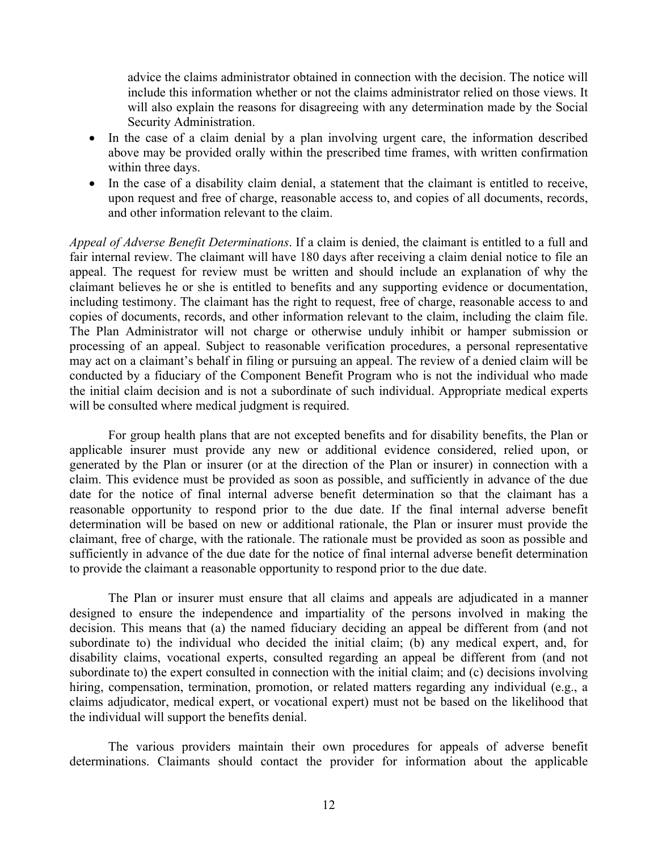advice the claims administrator obtained in connection with the decision. The notice will include this information whether or not the claims administrator relied on those views. It will also explain the reasons for disagreeing with any determination made by the Social Security Administration.

- In the case of a claim denial by a plan involving urgent care, the information described above may be provided orally within the prescribed time frames, with written confirmation within three days.
- In the case of a disability claim denial, a statement that the claimant is entitled to receive, upon request and free of charge, reasonable access to, and copies of all documents, records, and other information relevant to the claim.

*Appeal of Adverse Benefit Determinations*. If a claim is denied, the claimant is entitled to a full and fair internal review. The claimant will have 180 days after receiving a claim denial notice to file an appeal. The request for review must be written and should include an explanation of why the claimant believes he or she is entitled to benefits and any supporting evidence or documentation, including testimony. The claimant has the right to request, free of charge, reasonable access to and copies of documents, records, and other information relevant to the claim, including the claim file. The Plan Administrator will not charge or otherwise unduly inhibit or hamper submission or processing of an appeal. Subject to reasonable verification procedures, a personal representative may act on a claimant's behalf in filing or pursuing an appeal. The review of a denied claim will be conducted by a fiduciary of the Component Benefit Program who is not the individual who made the initial claim decision and is not a subordinate of such individual. Appropriate medical experts will be consulted where medical judgment is required.

 For group health plans that are not excepted benefits and for disability benefits, the Plan or applicable insurer must provide any new or additional evidence considered, relied upon, or generated by the Plan or insurer (or at the direction of the Plan or insurer) in connection with a claim. This evidence must be provided as soon as possible, and sufficiently in advance of the due date for the notice of final internal adverse benefit determination so that the claimant has a reasonable opportunity to respond prior to the due date. If the final internal adverse benefit determination will be based on new or additional rationale, the Plan or insurer must provide the claimant, free of charge, with the rationale. The rationale must be provided as soon as possible and sufficiently in advance of the due date for the notice of final internal adverse benefit determination to provide the claimant a reasonable opportunity to respond prior to the due date.

 The Plan or insurer must ensure that all claims and appeals are adjudicated in a manner designed to ensure the independence and impartiality of the persons involved in making the decision. This means that (a) the named fiduciary deciding an appeal be different from (and not subordinate to) the individual who decided the initial claim; (b) any medical expert, and, for disability claims, vocational experts, consulted regarding an appeal be different from (and not subordinate to) the expert consulted in connection with the initial claim; and (c) decisions involving hiring, compensation, termination, promotion, or related matters regarding any individual (e.g., a claims adjudicator, medical expert, or vocational expert) must not be based on the likelihood that the individual will support the benefits denial.

 The various providers maintain their own procedures for appeals of adverse benefit determinations. Claimants should contact the provider for information about the applicable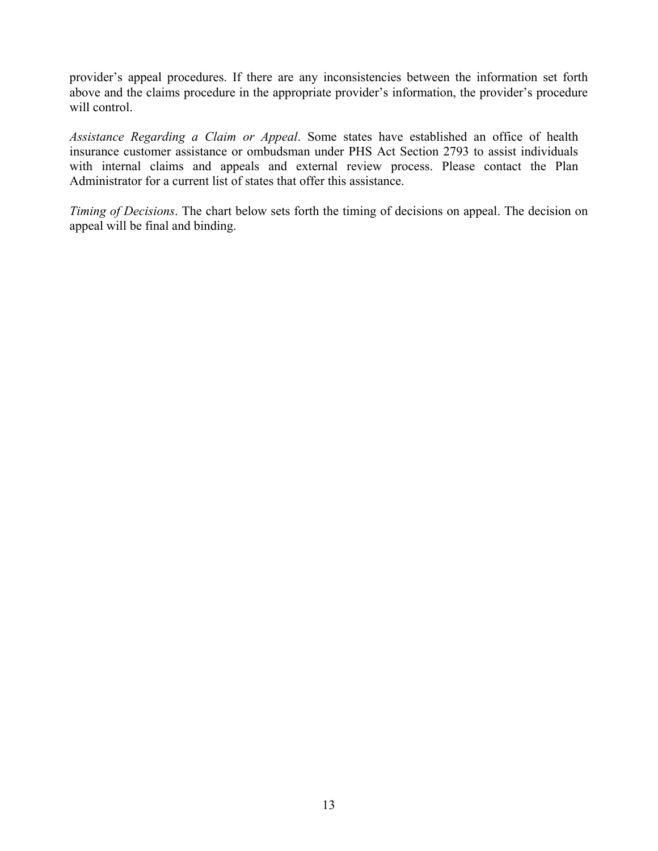provider's appeal procedures. If there are any inconsistencies between the information set forth above and the claims procedure in the appropriate provider's information, the provider's procedure will control.

*Assistance Regarding a Claim or Appeal*. Some states have established an office of health insurance customer assistance or ombudsman under PHS Act Section 2793 to assist individuals with internal claims and appeals and external review process. Please contact the Plan Administrator for a current list of states that offer this assistance.

*Timing of Decisions*. The chart below sets forth the timing of decisions on appeal. The decision on appeal will be final and binding.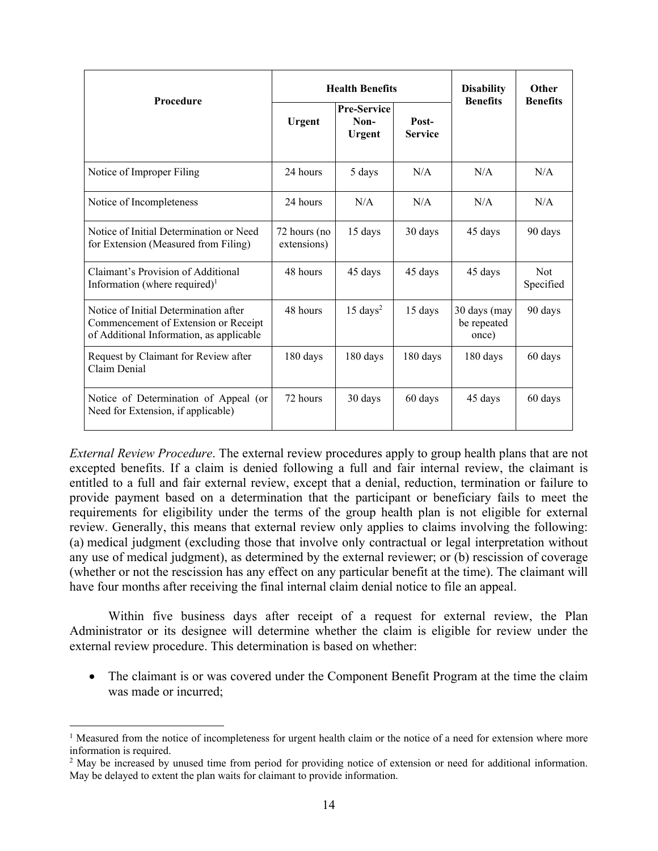|                                                                                                                           | <b>Health Benefits</b>      |                                             |                         | <b>Disability</b>                    | Other                   |
|---------------------------------------------------------------------------------------------------------------------------|-----------------------------|---------------------------------------------|-------------------------|--------------------------------------|-------------------------|
| Procedure                                                                                                                 | <b>Urgent</b>               | <b>Pre-Service</b><br>Non-<br><b>Urgent</b> | Post-<br><b>Service</b> | <b>Benefits</b>                      | <b>Benefits</b>         |
| Notice of Improper Filing                                                                                                 | 24 hours                    | 5 days                                      | N/A                     | N/A                                  | N/A                     |
| Notice of Incompleteness                                                                                                  | 24 hours                    | N/A                                         | N/A                     | N/A                                  | N/A                     |
| Notice of Initial Determination or Need<br>for Extension (Measured from Filing)                                           | 72 hours (no<br>extensions) | 15 days                                     | 30 days                 | 45 days                              | 90 days                 |
| Claimant's Provision of Additional<br>Information (where required) $l$                                                    | 48 hours                    | 45 days                                     | 45 days                 | 45 days                              | <b>Not</b><br>Specified |
| Notice of Initial Determination after<br>Commencement of Extension or Receipt<br>of Additional Information, as applicable | 48 hours                    | $15 \text{ days}^2$                         | 15 days                 | 30 days (may<br>be repeated<br>once) | 90 days                 |
| Request by Claimant for Review after<br>Claim Denial                                                                      | 180 days                    | $180$ days                                  | 180 days                | 180 days                             | 60 days                 |
| Notice of Determination of Appeal (or<br>Need for Extension, if applicable)                                               | 72 hours                    | 30 days                                     | 60 days                 | 45 days                              | 60 days                 |

*External Review Procedure*. The external review procedures apply to group health plans that are not excepted benefits. If a claim is denied following a full and fair internal review, the claimant is entitled to a full and fair external review, except that a denial, reduction, termination or failure to provide payment based on a determination that the participant or beneficiary fails to meet the requirements for eligibility under the terms of the group health plan is not eligible for external review. Generally, this means that external review only applies to claims involving the following: (a) medical judgment (excluding those that involve only contractual or legal interpretation without any use of medical judgment), as determined by the external reviewer; or (b) rescission of coverage (whether or not the rescission has any effect on any particular benefit at the time). The claimant will have four months after receiving the final internal claim denial notice to file an appeal.

 Within five business days after receipt of a request for external review, the Plan Administrator or its designee will determine whether the claim is eligible for review under the external review procedure. This determination is based on whether:

• The claimant is or was covered under the Component Benefit Program at the time the claim was made or incurred;

<sup>&</sup>lt;sup>1</sup> Measured from the notice of incompleteness for urgent health claim or the notice of a need for extension where more information is required.

<sup>&</sup>lt;sup>2</sup> May be increased by unused time from period for providing notice of extension or need for additional information. May be delayed to extent the plan waits for claimant to provide information.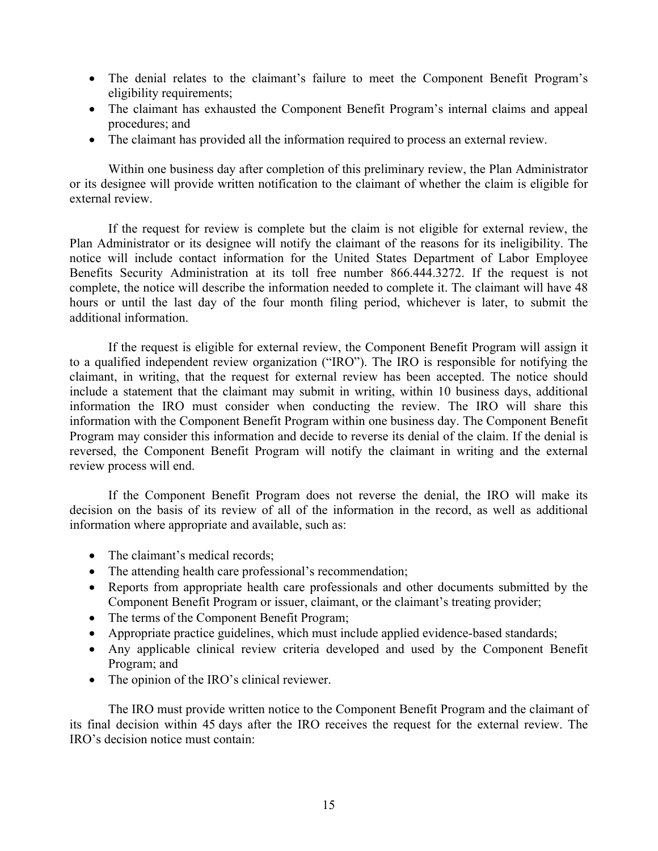- The denial relates to the claimant's failure to meet the Component Benefit Program's eligibility requirements;
- The claimant has exhausted the Component Benefit Program's internal claims and appeal procedures; and
- The claimant has provided all the information required to process an external review.

 Within one business day after completion of this preliminary review, the Plan Administrator or its designee will provide written notification to the claimant of whether the claim is eligible for external review.

 If the request for review is complete but the claim is not eligible for external review, the Plan Administrator or its designee will notify the claimant of the reasons for its ineligibility. The notice will include contact information for the United States Department of Labor Employee Benefits Security Administration at its toll free number 866.444.3272. If the request is not complete, the notice will describe the information needed to complete it. The claimant will have 48 hours or until the last day of the four month filing period, whichever is later, to submit the additional information.

 If the request is eligible for external review, the Component Benefit Program will assign it to a qualified independent review organization ("IRO"). The IRO is responsible for notifying the claimant, in writing, that the request for external review has been accepted. The notice should include a statement that the claimant may submit in writing, within 10 business days, additional information the IRO must consider when conducting the review. The IRO will share this information with the Component Benefit Program within one business day. The Component Benefit Program may consider this information and decide to reverse its denial of the claim. If the denial is reversed, the Component Benefit Program will notify the claimant in writing and the external review process will end.

 If the Component Benefit Program does not reverse the denial, the IRO will make its decision on the basis of its review of all of the information in the record, as well as additional information where appropriate and available, such as:

- The claimant's medical records;
- The attending health care professional's recommendation;
- Reports from appropriate health care professionals and other documents submitted by the Component Benefit Program or issuer, claimant, or the claimant's treating provider;
- The terms of the Component Benefit Program;
- Appropriate practice guidelines, which must include applied evidence-based standards;
- Any applicable clinical review criteria developed and used by the Component Benefit Program; and
- The opinion of the IRO's clinical reviewer.

 The IRO must provide written notice to the Component Benefit Program and the claimant of its final decision within 45 days after the IRO receives the request for the external review. The IRO's decision notice must contain: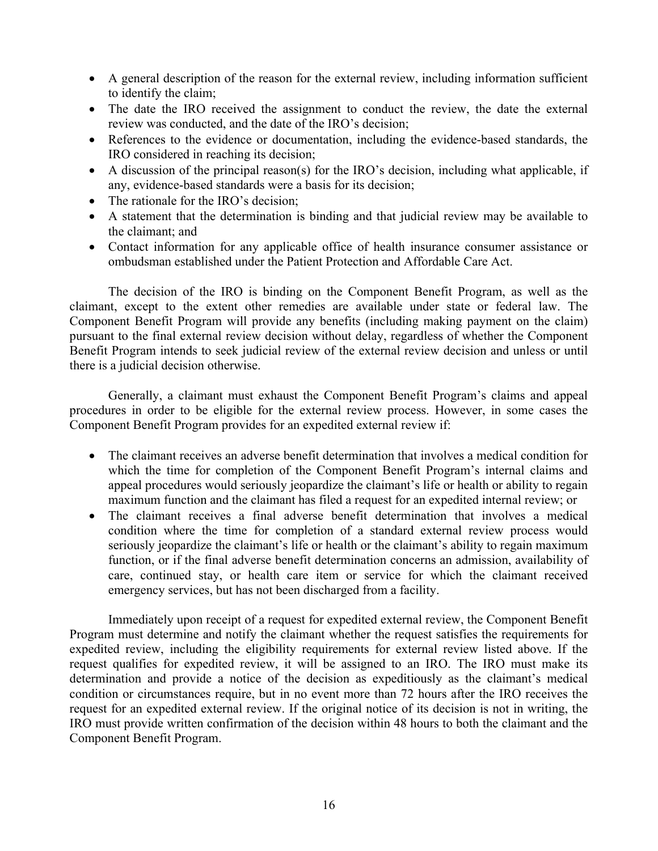- A general description of the reason for the external review, including information sufficient to identify the claim;
- The date the IRO received the assignment to conduct the review, the date the external review was conducted, and the date of the IRO's decision;
- References to the evidence or documentation, including the evidence-based standards, the IRO considered in reaching its decision;
- A discussion of the principal reason(s) for the IRO's decision, including what applicable, if any, evidence-based standards were a basis for its decision;
- The rationale for the IRO's decision;
- A statement that the determination is binding and that judicial review may be available to the claimant; and
- Contact information for any applicable office of health insurance consumer assistance or ombudsman established under the Patient Protection and Affordable Care Act.

 The decision of the IRO is binding on the Component Benefit Program, as well as the claimant, except to the extent other remedies are available under state or federal law. The Component Benefit Program will provide any benefits (including making payment on the claim) pursuant to the final external review decision without delay, regardless of whether the Component Benefit Program intends to seek judicial review of the external review decision and unless or until there is a judicial decision otherwise.

 Generally, a claimant must exhaust the Component Benefit Program's claims and appeal procedures in order to be eligible for the external review process. However, in some cases the Component Benefit Program provides for an expedited external review if:

- The claimant receives an adverse benefit determination that involves a medical condition for which the time for completion of the Component Benefit Program's internal claims and appeal procedures would seriously jeopardize the claimant's life or health or ability to regain maximum function and the claimant has filed a request for an expedited internal review; or
- The claimant receives a final adverse benefit determination that involves a medical condition where the time for completion of a standard external review process would seriously jeopardize the claimant's life or health or the claimant's ability to regain maximum function, or if the final adverse benefit determination concerns an admission, availability of care, continued stay, or health care item or service for which the claimant received emergency services, but has not been discharged from a facility.

 Immediately upon receipt of a request for expedited external review, the Component Benefit Program must determine and notify the claimant whether the request satisfies the requirements for expedited review, including the eligibility requirements for external review listed above. If the request qualifies for expedited review, it will be assigned to an IRO. The IRO must make its determination and provide a notice of the decision as expeditiously as the claimant's medical condition or circumstances require, but in no event more than 72 hours after the IRO receives the request for an expedited external review. If the original notice of its decision is not in writing, the IRO must provide written confirmation of the decision within 48 hours to both the claimant and the Component Benefit Program.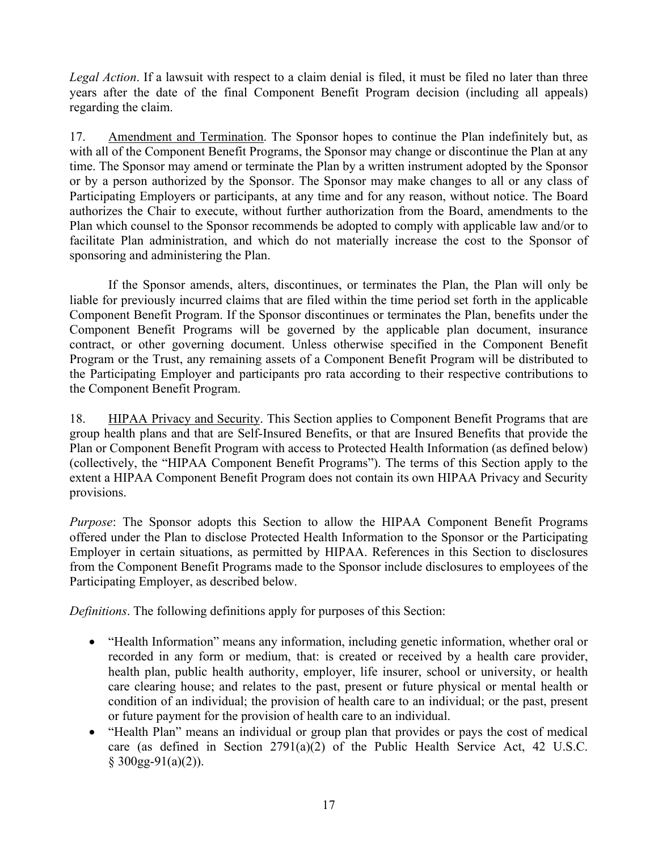*Legal Action*. If a lawsuit with respect to a claim denial is filed, it must be filed no later than three years after the date of the final Component Benefit Program decision (including all appeals) regarding the claim.

17. Amendment and Termination. The Sponsor hopes to continue the Plan indefinitely but, as with all of the Component Benefit Programs, the Sponsor may change or discontinue the Plan at any time. The Sponsor may amend or terminate the Plan by a written instrument adopted by the Sponsor or by a person authorized by the Sponsor. The Sponsor may make changes to all or any class of Participating Employers or participants, at any time and for any reason, without notice. The Board authorizes the Chair to execute, without further authorization from the Board, amendments to the Plan which counsel to the Sponsor recommends be adopted to comply with applicable law and/or to facilitate Plan administration, and which do not materially increase the cost to the Sponsor of sponsoring and administering the Plan.

 If the Sponsor amends, alters, discontinues, or terminates the Plan, the Plan will only be liable for previously incurred claims that are filed within the time period set forth in the applicable Component Benefit Program. If the Sponsor discontinues or terminates the Plan, benefits under the Component Benefit Programs will be governed by the applicable plan document, insurance contract, or other governing document. Unless otherwise specified in the Component Benefit Program or the Trust, any remaining assets of a Component Benefit Program will be distributed to the Participating Employer and participants pro rata according to their respective contributions to the Component Benefit Program.

18. HIPAA Privacy and Security. This Section applies to Component Benefit Programs that are group health plans and that are Self-Insured Benefits, or that are Insured Benefits that provide the Plan or Component Benefit Program with access to Protected Health Information (as defined below) (collectively, the "HIPAA Component Benefit Programs"). The terms of this Section apply to the extent a HIPAA Component Benefit Program does not contain its own HIPAA Privacy and Security provisions.

*Purpose*: The Sponsor adopts this Section to allow the HIPAA Component Benefit Programs offered under the Plan to disclose Protected Health Information to the Sponsor or the Participating Employer in certain situations, as permitted by HIPAA. References in this Section to disclosures from the Component Benefit Programs made to the Sponsor include disclosures to employees of the Participating Employer, as described below.

*Definitions*. The following definitions apply for purposes of this Section:

- "Health Information" means any information, including genetic information, whether oral or recorded in any form or medium, that: is created or received by a health care provider, health plan, public health authority, employer, life insurer, school or university, or health care clearing house; and relates to the past, present or future physical or mental health or condition of an individual; the provision of health care to an individual; or the past, present or future payment for the provision of health care to an individual.
- "Health Plan" means an individual or group plan that provides or pays the cost of medical care (as defined in Section 2791(a)(2) of the Public Health Service Act, 42 U.S.C.  $§$  300gg-91(a)(2)).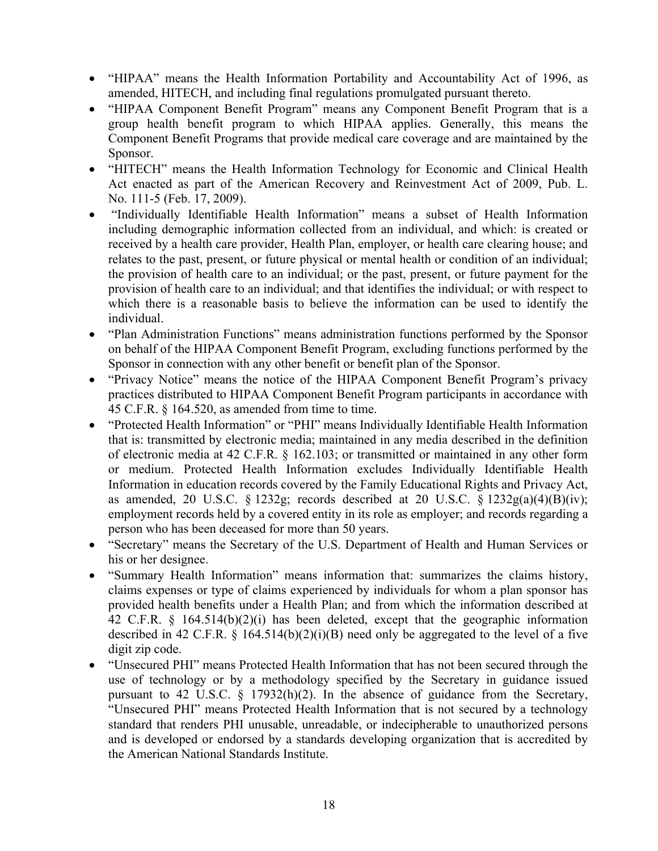- "HIPAA" means the Health Information Portability and Accountability Act of 1996, as amended, HITECH, and including final regulations promulgated pursuant thereto.
- "HIPAA Component Benefit Program" means any Component Benefit Program that is a group health benefit program to which HIPAA applies. Generally, this means the Component Benefit Programs that provide medical care coverage and are maintained by the Sponsor.
- "HITECH" means the Health Information Technology for Economic and Clinical Health Act enacted as part of the American Recovery and Reinvestment Act of 2009, Pub. L. No. 111-5 (Feb. 17, 2009).
- "Individually Identifiable Health Information" means a subset of Health Information including demographic information collected from an individual, and which: is created or received by a health care provider, Health Plan, employer, or health care clearing house; and relates to the past, present, or future physical or mental health or condition of an individual; the provision of health care to an individual; or the past, present, or future payment for the provision of health care to an individual; and that identifies the individual; or with respect to which there is a reasonable basis to believe the information can be used to identify the individual.
- "Plan Administration Functions" means administration functions performed by the Sponsor on behalf of the HIPAA Component Benefit Program, excluding functions performed by the Sponsor in connection with any other benefit or benefit plan of the Sponsor.
- "Privacy Notice" means the notice of the HIPAA Component Benefit Program's privacy practices distributed to HIPAA Component Benefit Program participants in accordance with 45 C.F.R. § 164.520, as amended from time to time.
- "Protected Health Information" or "PHI" means Individually Identifiable Health Information that is: transmitted by electronic media; maintained in any media described in the definition of electronic media at 42 C.F.R. § 162.103; or transmitted or maintained in any other form or medium. Protected Health Information excludes Individually Identifiable Health Information in education records covered by the Family Educational Rights and Privacy Act, as amended, 20 U.S.C. § 1232g; records described at 20 U.S.C. § 1232g(a)(4)(B)(iv); employment records held by a covered entity in its role as employer; and records regarding a person who has been deceased for more than 50 years.
- "Secretary" means the Secretary of the U.S. Department of Health and Human Services or his or her designee.
- "Summary Health Information" means information that: summarizes the claims history, claims expenses or type of claims experienced by individuals for whom a plan sponsor has provided health benefits under a Health Plan; and from which the information described at 42 C.F.R. § 164.514(b)(2)(i) has been deleted, except that the geographic information described in 42 C.F.R.  $\S$  164.514(b)(2)(i)(B) need only be aggregated to the level of a five digit zip code.
- "Unsecured PHI" means Protected Health Information that has not been secured through the use of technology or by a methodology specified by the Secretary in guidance issued pursuant to 42 U.S.C. § 17932(h)(2). In the absence of guidance from the Secretary, "Unsecured PHI" means Protected Health Information that is not secured by a technology standard that renders PHI unusable, unreadable, or indecipherable to unauthorized persons and is developed or endorsed by a standards developing organization that is accredited by the American National Standards Institute.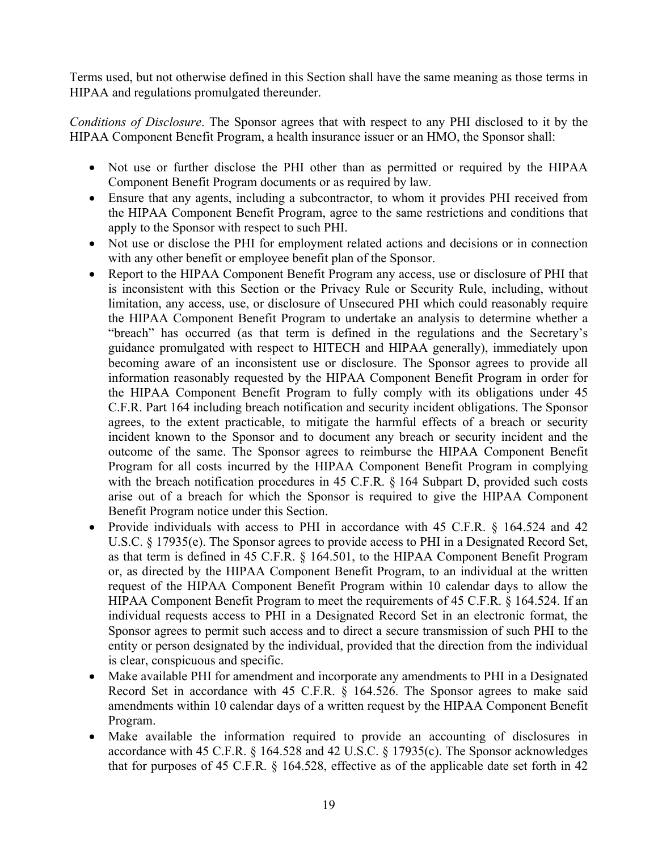Terms used, but not otherwise defined in this Section shall have the same meaning as those terms in HIPAA and regulations promulgated thereunder.

*Conditions of Disclosure*. The Sponsor agrees that with respect to any PHI disclosed to it by the HIPAA Component Benefit Program, a health insurance issuer or an HMO, the Sponsor shall:

- Not use or further disclose the PHI other than as permitted or required by the HIPAA Component Benefit Program documents or as required by law.
- Ensure that any agents, including a subcontractor, to whom it provides PHI received from the HIPAA Component Benefit Program, agree to the same restrictions and conditions that apply to the Sponsor with respect to such PHI.
- Not use or disclose the PHI for employment related actions and decisions or in connection with any other benefit or employee benefit plan of the Sponsor.
- Report to the HIPAA Component Benefit Program any access, use or disclosure of PHI that is inconsistent with this Section or the Privacy Rule or Security Rule, including, without limitation, any access, use, or disclosure of Unsecured PHI which could reasonably require the HIPAA Component Benefit Program to undertake an analysis to determine whether a "breach" has occurred (as that term is defined in the regulations and the Secretary's guidance promulgated with respect to HITECH and HIPAA generally), immediately upon becoming aware of an inconsistent use or disclosure. The Sponsor agrees to provide all information reasonably requested by the HIPAA Component Benefit Program in order for the HIPAA Component Benefit Program to fully comply with its obligations under 45 C.F.R. Part 164 including breach notification and security incident obligations. The Sponsor agrees, to the extent practicable, to mitigate the harmful effects of a breach or security incident known to the Sponsor and to document any breach or security incident and the outcome of the same. The Sponsor agrees to reimburse the HIPAA Component Benefit Program for all costs incurred by the HIPAA Component Benefit Program in complying with the breach notification procedures in 45 C.F.R. § 164 Subpart D, provided such costs arise out of a breach for which the Sponsor is required to give the HIPAA Component Benefit Program notice under this Section.
- Provide individuals with access to PHI in accordance with 45 C.F.R. § 164.524 and 42 U.S.C. § 17935(e). The Sponsor agrees to provide access to PHI in a Designated Record Set, as that term is defined in 45 C.F.R. § 164.501, to the HIPAA Component Benefit Program or, as directed by the HIPAA Component Benefit Program, to an individual at the written request of the HIPAA Component Benefit Program within 10 calendar days to allow the HIPAA Component Benefit Program to meet the requirements of 45 C.F.R. § 164.524. If an individual requests access to PHI in a Designated Record Set in an electronic format, the Sponsor agrees to permit such access and to direct a secure transmission of such PHI to the entity or person designated by the individual, provided that the direction from the individual is clear, conspicuous and specific.
- Make available PHI for amendment and incorporate any amendments to PHI in a Designated Record Set in accordance with 45 C.F.R. § 164.526. The Sponsor agrees to make said amendments within 10 calendar days of a written request by the HIPAA Component Benefit Program.
- Make available the information required to provide an accounting of disclosures in accordance with 45 C.F.R. § 164.528 and 42 U.S.C. § 17935(c). The Sponsor acknowledges that for purposes of 45 C.F.R. § 164.528, effective as of the applicable date set forth in 42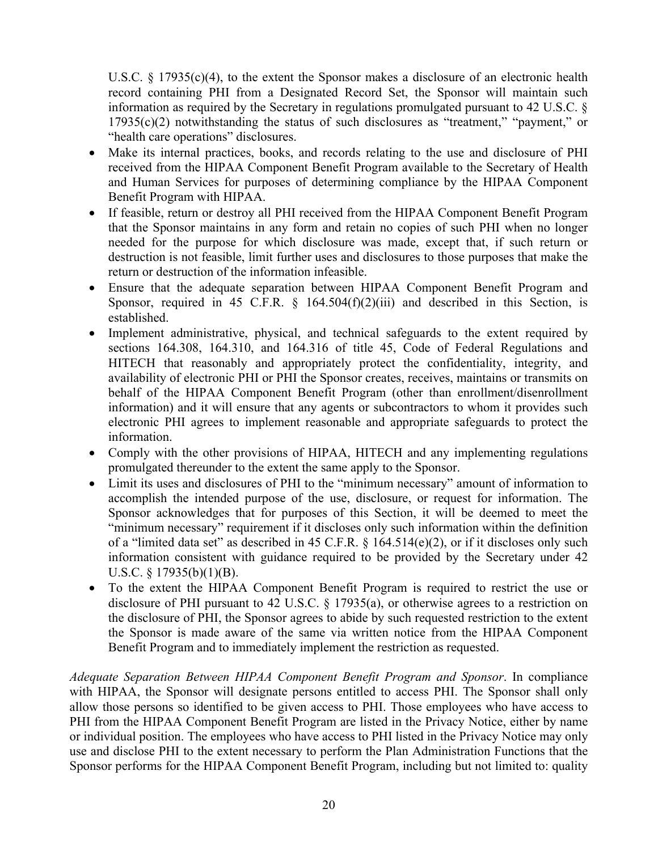U.S.C. § 17935(c)(4), to the extent the Sponsor makes a disclosure of an electronic health record containing PHI from a Designated Record Set, the Sponsor will maintain such information as required by the Secretary in regulations promulgated pursuant to 42 U.S.C. § 17935(c)(2) notwithstanding the status of such disclosures as "treatment," "payment," or "health care operations" disclosures.

- Make its internal practices, books, and records relating to the use and disclosure of PHI received from the HIPAA Component Benefit Program available to the Secretary of Health and Human Services for purposes of determining compliance by the HIPAA Component Benefit Program with HIPAA.
- If feasible, return or destroy all PHI received from the HIPAA Component Benefit Program that the Sponsor maintains in any form and retain no copies of such PHI when no longer needed for the purpose for which disclosure was made, except that, if such return or destruction is not feasible, limit further uses and disclosures to those purposes that make the return or destruction of the information infeasible.
- Ensure that the adequate separation between HIPAA Component Benefit Program and Sponsor, required in 45 C.F.R.  $\frac{164.504(f)(2)(iii)}{2}$  and described in this Section, is established.
- Implement administrative, physical, and technical safeguards to the extent required by sections 164.308, 164.310, and 164.316 of title 45, Code of Federal Regulations and HITECH that reasonably and appropriately protect the confidentiality, integrity, and availability of electronic PHI or PHI the Sponsor creates, receives, maintains or transmits on behalf of the HIPAA Component Benefit Program (other than enrollment/disenrollment information) and it will ensure that any agents or subcontractors to whom it provides such electronic PHI agrees to implement reasonable and appropriate safeguards to protect the information.
- Comply with the other provisions of HIPAA, HITECH and any implementing regulations promulgated thereunder to the extent the same apply to the Sponsor.
- Limit its uses and disclosures of PHI to the "minimum necessary" amount of information to accomplish the intended purpose of the use, disclosure, or request for information. The Sponsor acknowledges that for purposes of this Section, it will be deemed to meet the "minimum necessary" requirement if it discloses only such information within the definition of a "limited data set" as described in 45 C.F.R. § 164.514(e)(2), or if it discloses only such information consistent with guidance required to be provided by the Secretary under 42 U.S.C. § 17935(b)(1)(B).
- To the extent the HIPAA Component Benefit Program is required to restrict the use or disclosure of PHI pursuant to 42 U.S.C. § 17935(a), or otherwise agrees to a restriction on the disclosure of PHI, the Sponsor agrees to abide by such requested restriction to the extent the Sponsor is made aware of the same via written notice from the HIPAA Component Benefit Program and to immediately implement the restriction as requested.

*Adequate Separation Between HIPAA Component Benefit Program and Sponsor*. In compliance with HIPAA, the Sponsor will designate persons entitled to access PHI. The Sponsor shall only allow those persons so identified to be given access to PHI. Those employees who have access to PHI from the HIPAA Component Benefit Program are listed in the Privacy Notice, either by name or individual position. The employees who have access to PHI listed in the Privacy Notice may only use and disclose PHI to the extent necessary to perform the Plan Administration Functions that the Sponsor performs for the HIPAA Component Benefit Program, including but not limited to: quality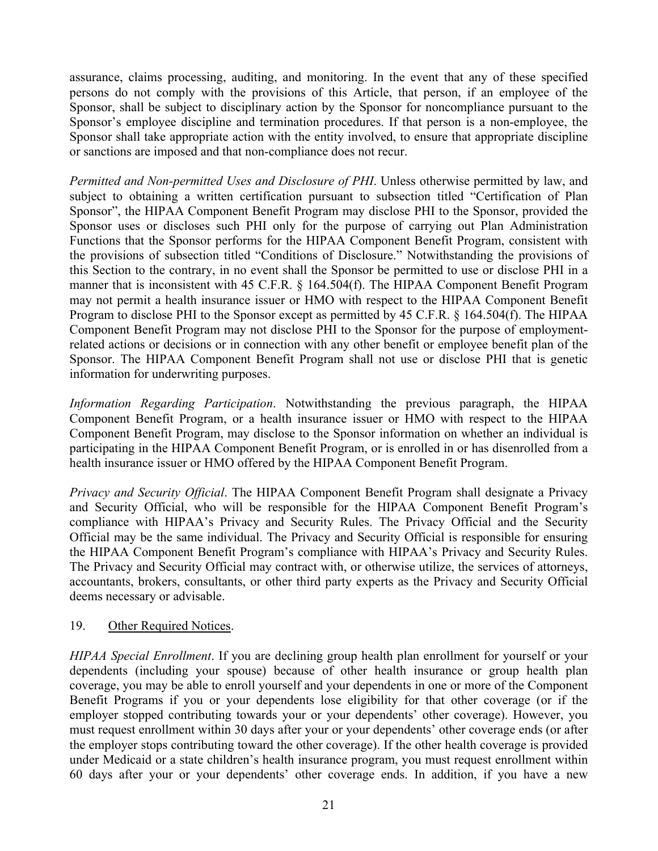assurance, claims processing, auditing, and monitoring. In the event that any of these specified persons do not comply with the provisions of this Article, that person, if an employee of the Sponsor, shall be subject to disciplinary action by the Sponsor for noncompliance pursuant to the Sponsor's employee discipline and termination procedures. If that person is a non-employee, the Sponsor shall take appropriate action with the entity involved, to ensure that appropriate discipline or sanctions are imposed and that non-compliance does not recur.

*Permitted and Non-permitted Uses and Disclosure of PHI*. Unless otherwise permitted by law, and subject to obtaining a written certification pursuant to subsection titled "Certification of Plan Sponsor", the HIPAA Component Benefit Program may disclose PHI to the Sponsor, provided the Sponsor uses or discloses such PHI only for the purpose of carrying out Plan Administration Functions that the Sponsor performs for the HIPAA Component Benefit Program, consistent with the provisions of subsection titled "Conditions of Disclosure." Notwithstanding the provisions of this Section to the contrary, in no event shall the Sponsor be permitted to use or disclose PHI in a manner that is inconsistent with 45 C.F.R. § 164.504(f). The HIPAA Component Benefit Program may not permit a health insurance issuer or HMO with respect to the HIPAA Component Benefit Program to disclose PHI to the Sponsor except as permitted by 45 C.F.R. § 164.504(f). The HIPAA Component Benefit Program may not disclose PHI to the Sponsor for the purpose of employmentrelated actions or decisions or in connection with any other benefit or employee benefit plan of the Sponsor. The HIPAA Component Benefit Program shall not use or disclose PHI that is genetic information for underwriting purposes.

*Information Regarding Participation*. Notwithstanding the previous paragraph, the HIPAA Component Benefit Program, or a health insurance issuer or HMO with respect to the HIPAA Component Benefit Program, may disclose to the Sponsor information on whether an individual is participating in the HIPAA Component Benefit Program, or is enrolled in or has disenrolled from a health insurance issuer or HMO offered by the HIPAA Component Benefit Program.

*Privacy and Security Official*. The HIPAA Component Benefit Program shall designate a Privacy and Security Official, who will be responsible for the HIPAA Component Benefit Program's compliance with HIPAA's Privacy and Security Rules. The Privacy Official and the Security Official may be the same individual. The Privacy and Security Official is responsible for ensuring the HIPAA Component Benefit Program's compliance with HIPAA's Privacy and Security Rules. The Privacy and Security Official may contract with, or otherwise utilize, the services of attorneys, accountants, brokers, consultants, or other third party experts as the Privacy and Security Official deems necessary or advisable.

#### 19. Other Required Notices.

*HIPAA Special Enrollment*. If you are declining group health plan enrollment for yourself or your dependents (including your spouse) because of other health insurance or group health plan coverage, you may be able to enroll yourself and your dependents in one or more of the Component Benefit Programs if you or your dependents lose eligibility for that other coverage (or if the employer stopped contributing towards your or your dependents' other coverage). However, you must request enrollment within 30 days after your or your dependents' other coverage ends (or after the employer stops contributing toward the other coverage). If the other health coverage is provided under Medicaid or a state children's health insurance program, you must request enrollment within 60 days after your or your dependents' other coverage ends. In addition, if you have a new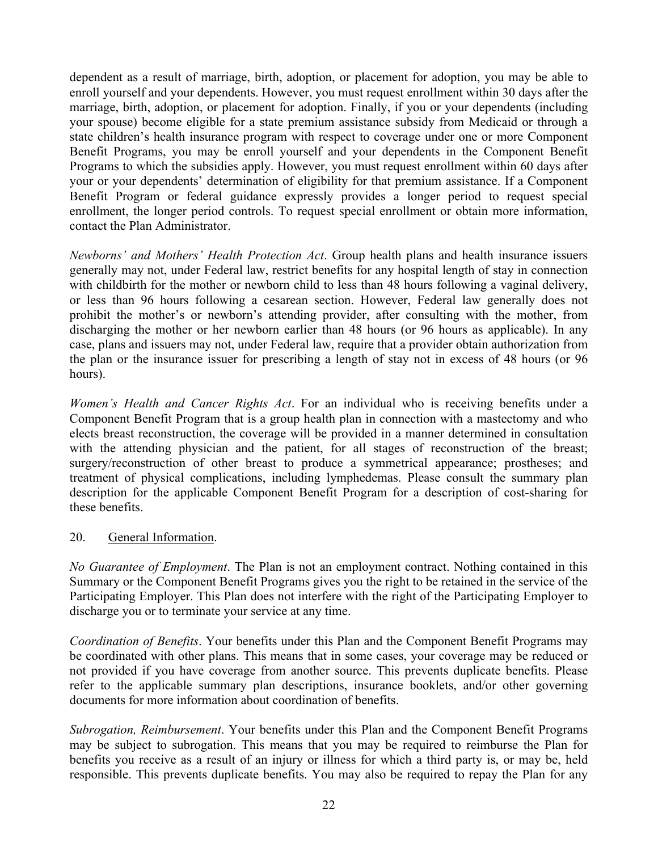dependent as a result of marriage, birth, adoption, or placement for adoption, you may be able to enroll yourself and your dependents. However, you must request enrollment within 30 days after the marriage, birth, adoption, or placement for adoption. Finally, if you or your dependents (including your spouse) become eligible for a state premium assistance subsidy from Medicaid or through a state children's health insurance program with respect to coverage under one or more Component Benefit Programs, you may be enroll yourself and your dependents in the Component Benefit Programs to which the subsidies apply. However, you must request enrollment within 60 days after your or your dependents' determination of eligibility for that premium assistance. If a Component Benefit Program or federal guidance expressly provides a longer period to request special enrollment, the longer period controls. To request special enrollment or obtain more information, contact the Plan Administrator.

*Newborns' and Mothers' Health Protection Act*. Group health plans and health insurance issuers generally may not, under Federal law, restrict benefits for any hospital length of stay in connection with childbirth for the mother or newborn child to less than 48 hours following a vaginal delivery, or less than 96 hours following a cesarean section. However, Federal law generally does not prohibit the mother's or newborn's attending provider, after consulting with the mother, from discharging the mother or her newborn earlier than 48 hours (or 96 hours as applicable). In any case, plans and issuers may not, under Federal law, require that a provider obtain authorization from the plan or the insurance issuer for prescribing a length of stay not in excess of 48 hours (or 96 hours).

*Women's Health and Cancer Rights Act*. For an individual who is receiving benefits under a Component Benefit Program that is a group health plan in connection with a mastectomy and who elects breast reconstruction, the coverage will be provided in a manner determined in consultation with the attending physician and the patient, for all stages of reconstruction of the breast; surgery/reconstruction of other breast to produce a symmetrical appearance; prostheses; and treatment of physical complications, including lymphedemas. Please consult the summary plan description for the applicable Component Benefit Program for a description of cost-sharing for these benefits.

## 20. General Information.

*No Guarantee of Employment*. The Plan is not an employment contract. Nothing contained in this Summary or the Component Benefit Programs gives you the right to be retained in the service of the Participating Employer. This Plan does not interfere with the right of the Participating Employer to discharge you or to terminate your service at any time.

*Coordination of Benefits*. Your benefits under this Plan and the Component Benefit Programs may be coordinated with other plans. This means that in some cases, your coverage may be reduced or not provided if you have coverage from another source. This prevents duplicate benefits. Please refer to the applicable summary plan descriptions, insurance booklets, and/or other governing documents for more information about coordination of benefits.

*Subrogation, Reimbursement*. Your benefits under this Plan and the Component Benefit Programs may be subject to subrogation. This means that you may be required to reimburse the Plan for benefits you receive as a result of an injury or illness for which a third party is, or may be, held responsible. This prevents duplicate benefits. You may also be required to repay the Plan for any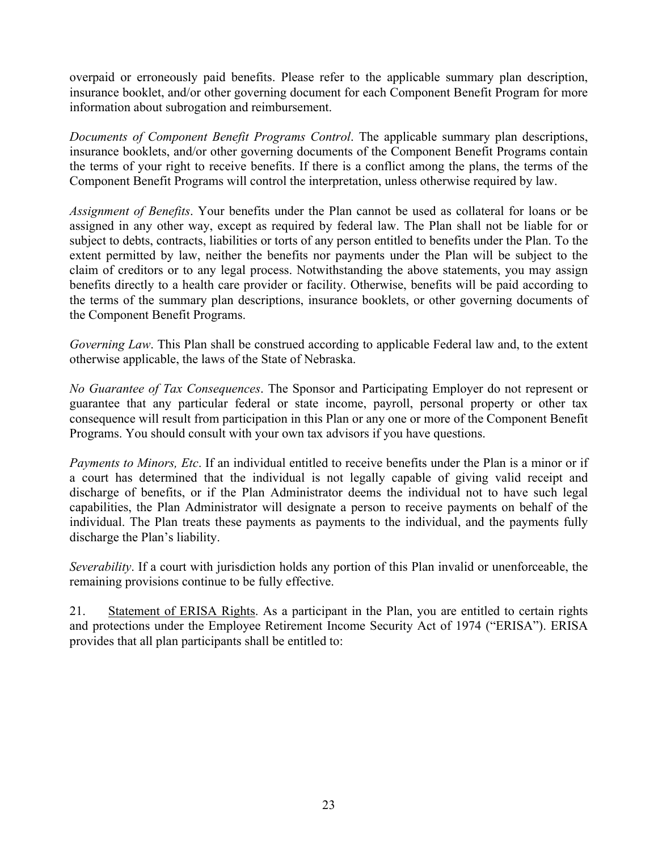overpaid or erroneously paid benefits. Please refer to the applicable summary plan description, insurance booklet, and/or other governing document for each Component Benefit Program for more information about subrogation and reimbursement.

*Documents of Component Benefit Programs Control*. The applicable summary plan descriptions, insurance booklets, and/or other governing documents of the Component Benefit Programs contain the terms of your right to receive benefits. If there is a conflict among the plans, the terms of the Component Benefit Programs will control the interpretation, unless otherwise required by law.

*Assignment of Benefits*. Your benefits under the Plan cannot be used as collateral for loans or be assigned in any other way, except as required by federal law. The Plan shall not be liable for or subject to debts, contracts, liabilities or torts of any person entitled to benefits under the Plan. To the extent permitted by law, neither the benefits nor payments under the Plan will be subject to the claim of creditors or to any legal process. Notwithstanding the above statements, you may assign benefits directly to a health care provider or facility. Otherwise, benefits will be paid according to the terms of the summary plan descriptions, insurance booklets, or other governing documents of the Component Benefit Programs.

*Governing Law*. This Plan shall be construed according to applicable Federal law and, to the extent otherwise applicable, the laws of the State of Nebraska.

*No Guarantee of Tax Consequences*. The Sponsor and Participating Employer do not represent or guarantee that any particular federal or state income, payroll, personal property or other tax consequence will result from participation in this Plan or any one or more of the Component Benefit Programs. You should consult with your own tax advisors if you have questions.

*Payments to Minors, Etc*. If an individual entitled to receive benefits under the Plan is a minor or if a court has determined that the individual is not legally capable of giving valid receipt and discharge of benefits, or if the Plan Administrator deems the individual not to have such legal capabilities, the Plan Administrator will designate a person to receive payments on behalf of the individual. The Plan treats these payments as payments to the individual, and the payments fully discharge the Plan's liability.

*Severability*. If a court with jurisdiction holds any portion of this Plan invalid or unenforceable, the remaining provisions continue to be fully effective.

21. Statement of ERISA Rights. As a participant in the Plan, you are entitled to certain rights and protections under the Employee Retirement Income Security Act of 1974 ("ERISA"). ERISA provides that all plan participants shall be entitled to: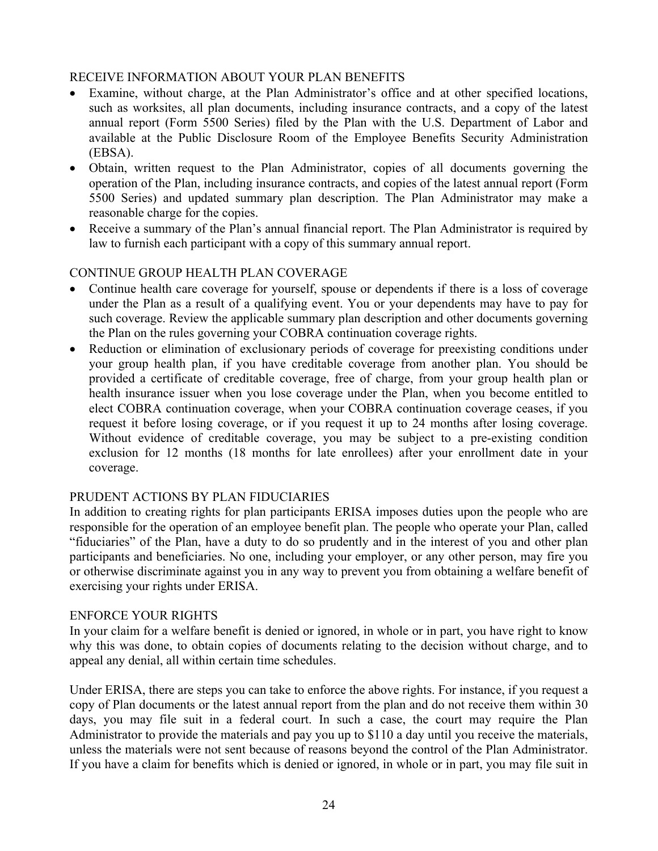### RECEIVE INFORMATION ABOUT YOUR PLAN BENEFITS

- Examine, without charge, at the Plan Administrator's office and at other specified locations, such as worksites, all plan documents, including insurance contracts, and a copy of the latest annual report (Form 5500 Series) filed by the Plan with the U.S. Department of Labor and available at the Public Disclosure Room of the Employee Benefits Security Administration (EBSA).
- Obtain, written request to the Plan Administrator, copies of all documents governing the operation of the Plan, including insurance contracts, and copies of the latest annual report (Form 5500 Series) and updated summary plan description. The Plan Administrator may make a reasonable charge for the copies.
- Receive a summary of the Plan's annual financial report. The Plan Administrator is required by law to furnish each participant with a copy of this summary annual report.

## CONTINUE GROUP HEALTH PLAN COVERAGE

- Continue health care coverage for yourself, spouse or dependents if there is a loss of coverage under the Plan as a result of a qualifying event. You or your dependents may have to pay for such coverage. Review the applicable summary plan description and other documents governing the Plan on the rules governing your COBRA continuation coverage rights.
- Reduction or elimination of exclusionary periods of coverage for preexisting conditions under your group health plan, if you have creditable coverage from another plan. You should be provided a certificate of creditable coverage, free of charge, from your group health plan or health insurance issuer when you lose coverage under the Plan, when you become entitled to elect COBRA continuation coverage, when your COBRA continuation coverage ceases, if you request it before losing coverage, or if you request it up to 24 months after losing coverage. Without evidence of creditable coverage, you may be subject to a pre-existing condition exclusion for 12 months (18 months for late enrollees) after your enrollment date in your coverage.

#### PRUDENT ACTIONS BY PLAN FIDUCIARIES

In addition to creating rights for plan participants ERISA imposes duties upon the people who are responsible for the operation of an employee benefit plan. The people who operate your Plan, called "fiduciaries" of the Plan, have a duty to do so prudently and in the interest of you and other plan participants and beneficiaries. No one, including your employer, or any other person, may fire you or otherwise discriminate against you in any way to prevent you from obtaining a welfare benefit of exercising your rights under ERISA.

#### ENFORCE YOUR RIGHTS

In your claim for a welfare benefit is denied or ignored, in whole or in part, you have right to know why this was done, to obtain copies of documents relating to the decision without charge, and to appeal any denial, all within certain time schedules.

Under ERISA, there are steps you can take to enforce the above rights. For instance, if you request a copy of Plan documents or the latest annual report from the plan and do not receive them within 30 days, you may file suit in a federal court. In such a case, the court may require the Plan Administrator to provide the materials and pay you up to \$110 a day until you receive the materials, unless the materials were not sent because of reasons beyond the control of the Plan Administrator. If you have a claim for benefits which is denied or ignored, in whole or in part, you may file suit in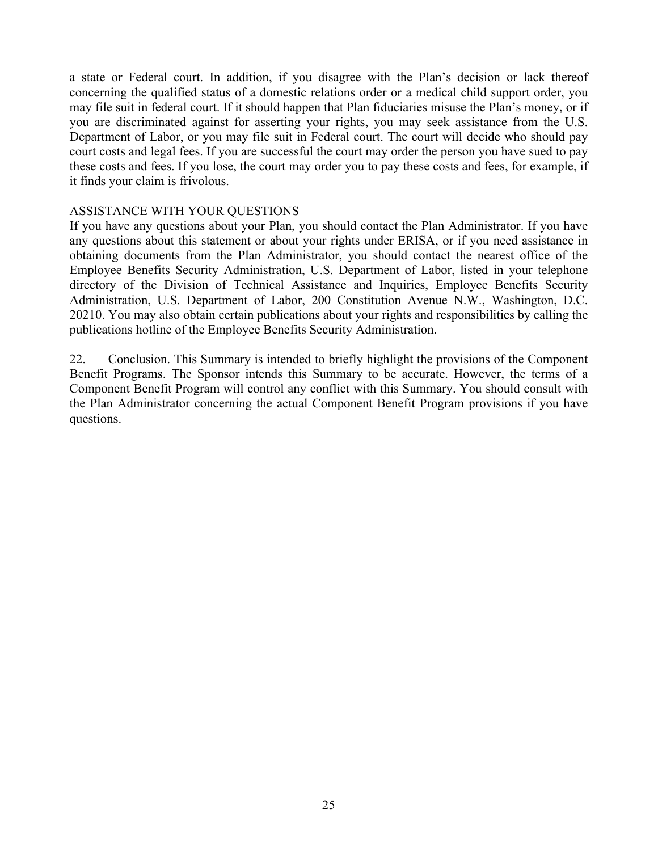a state or Federal court. In addition, if you disagree with the Plan's decision or lack thereof concerning the qualified status of a domestic relations order or a medical child support order, you may file suit in federal court. If it should happen that Plan fiduciaries misuse the Plan's money, or if you are discriminated against for asserting your rights, you may seek assistance from the U.S. Department of Labor, or you may file suit in Federal court. The court will decide who should pay court costs and legal fees. If you are successful the court may order the person you have sued to pay these costs and fees. If you lose, the court may order you to pay these costs and fees, for example, if it finds your claim is frivolous.

### ASSISTANCE WITH YOUR QUESTIONS

If you have any questions about your Plan, you should contact the Plan Administrator. If you have any questions about this statement or about your rights under ERISA, or if you need assistance in obtaining documents from the Plan Administrator, you should contact the nearest office of the Employee Benefits Security Administration, U.S. Department of Labor, listed in your telephone directory of the Division of Technical Assistance and Inquiries, Employee Benefits Security Administration, U.S. Department of Labor, 200 Constitution Avenue N.W., Washington, D.C. 20210. You may also obtain certain publications about your rights and responsibilities by calling the publications hotline of the Employee Benefits Security Administration.

22. Conclusion. This Summary is intended to briefly highlight the provisions of the Component Benefit Programs. The Sponsor intends this Summary to be accurate. However, the terms of a Component Benefit Program will control any conflict with this Summary. You should consult with the Plan Administrator concerning the actual Component Benefit Program provisions if you have questions.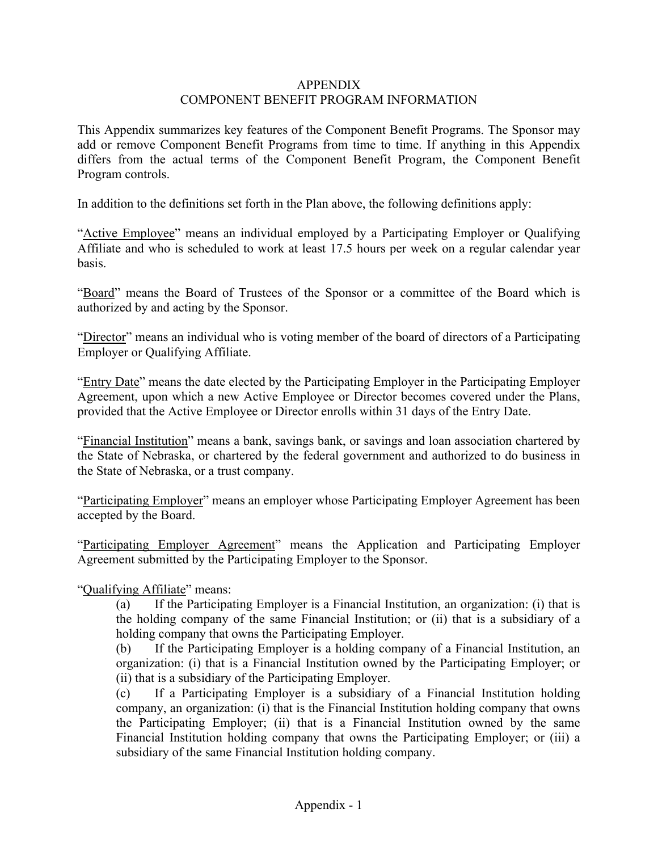### APPENDIX COMPONENT BENEFIT PROGRAM INFORMATION

This Appendix summarizes key features of the Component Benefit Programs. The Sponsor may add or remove Component Benefit Programs from time to time. If anything in this Appendix differs from the actual terms of the Component Benefit Program, the Component Benefit Program controls.

In addition to the definitions set forth in the Plan above, the following definitions apply:

"Active Employee" means an individual employed by a Participating Employer or Qualifying Affiliate and who is scheduled to work at least 17.5 hours per week on a regular calendar year basis.

"Board" means the Board of Trustees of the Sponsor or a committee of the Board which is authorized by and acting by the Sponsor.

"Director" means an individual who is voting member of the board of directors of a Participating Employer or Qualifying Affiliate.

"Entry Date" means the date elected by the Participating Employer in the Participating Employer Agreement, upon which a new Active Employee or Director becomes covered under the Plans, provided that the Active Employee or Director enrolls within 31 days of the Entry Date.

"Financial Institution" means a bank, savings bank, or savings and loan association chartered by the State of Nebraska, or chartered by the federal government and authorized to do business in the State of Nebraska, or a trust company.

"Participating Employer" means an employer whose Participating Employer Agreement has been accepted by the Board.

"Participating Employer Agreement" means the Application and Participating Employer Agreement submitted by the Participating Employer to the Sponsor.

## "Qualifying Affiliate" means:

(a) If the Participating Employer is a Financial Institution, an organization: (i) that is the holding company of the same Financial Institution; or (ii) that is a subsidiary of a holding company that owns the Participating Employer.

(b) If the Participating Employer is a holding company of a Financial Institution, an organization: (i) that is a Financial Institution owned by the Participating Employer; or (ii) that is a subsidiary of the Participating Employer.

(c) If a Participating Employer is a subsidiary of a Financial Institution holding company, an organization: (i) that is the Financial Institution holding company that owns the Participating Employer; (ii) that is a Financial Institution owned by the same Financial Institution holding company that owns the Participating Employer; or (iii) a subsidiary of the same Financial Institution holding company.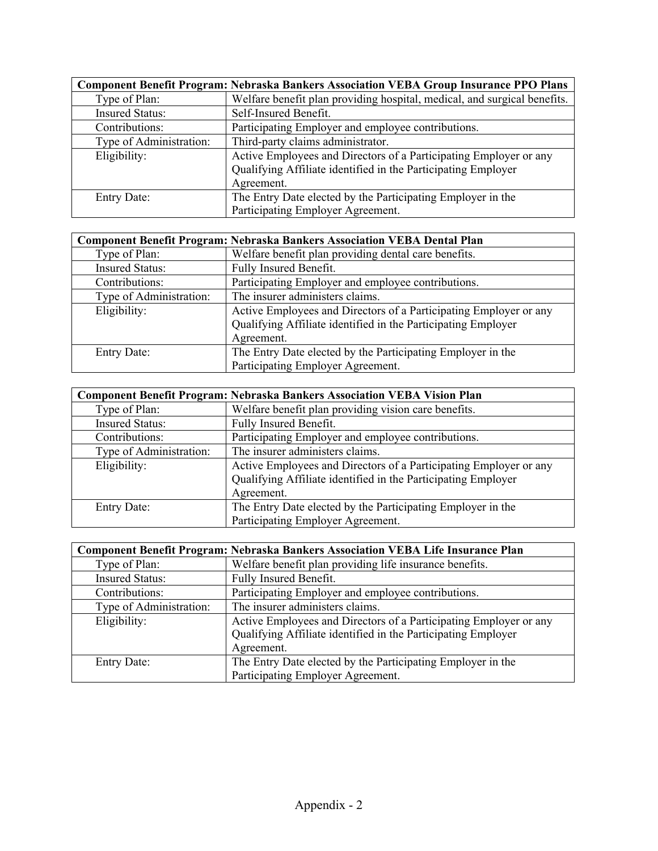| <b>Component Benefit Program: Nebraska Bankers Association VEBA Group Insurance PPO Plans</b> |                                                                          |  |
|-----------------------------------------------------------------------------------------------|--------------------------------------------------------------------------|--|
| Type of Plan:                                                                                 | Welfare benefit plan providing hospital, medical, and surgical benefits. |  |
| <b>Insured Status:</b>                                                                        | Self-Insured Benefit.                                                    |  |
| Contributions:                                                                                | Participating Employer and employee contributions.                       |  |
| Type of Administration:                                                                       | Third-party claims administrator.                                        |  |
| Eligibility:                                                                                  | Active Employees and Directors of a Participating Employer or any        |  |
|                                                                                               | Qualifying Affiliate identified in the Participating Employer            |  |
|                                                                                               | Agreement.                                                               |  |
| <b>Entry Date:</b>                                                                            | The Entry Date elected by the Participating Employer in the              |  |
|                                                                                               | Participating Employer Agreement.                                        |  |

| <b>Component Benefit Program: Nebraska Bankers Association VEBA Dental Plan</b> |                                                                   |  |
|---------------------------------------------------------------------------------|-------------------------------------------------------------------|--|
| Type of Plan:                                                                   | Welfare benefit plan providing dental care benefits.              |  |
| <b>Insured Status:</b>                                                          | Fully Insured Benefit.                                            |  |
| Contributions:                                                                  | Participating Employer and employee contributions.                |  |
| Type of Administration:                                                         | The insurer administers claims.                                   |  |
| Eligibility:                                                                    | Active Employees and Directors of a Participating Employer or any |  |
|                                                                                 | Qualifying Affiliate identified in the Participating Employer     |  |
|                                                                                 | Agreement.                                                        |  |
| <b>Entry Date:</b>                                                              | The Entry Date elected by the Participating Employer in the       |  |
|                                                                                 | Participating Employer Agreement.                                 |  |

| <b>Component Benefit Program: Nebraska Bankers Association VEBA Vision Plan</b> |                                                                   |  |
|---------------------------------------------------------------------------------|-------------------------------------------------------------------|--|
| Type of Plan:                                                                   | Welfare benefit plan providing vision care benefits.              |  |
| <b>Insured Status:</b>                                                          | Fully Insured Benefit.                                            |  |
| Contributions:                                                                  | Participating Employer and employee contributions.                |  |
| Type of Administration:                                                         | The insurer administers claims.                                   |  |
| Eligibility:                                                                    | Active Employees and Directors of a Participating Employer or any |  |
|                                                                                 | Qualifying Affiliate identified in the Participating Employer     |  |
|                                                                                 | Agreement.                                                        |  |
| <b>Entry Date:</b>                                                              | The Entry Date elected by the Participating Employer in the       |  |
|                                                                                 | Participating Employer Agreement.                                 |  |

| Component Benefit Program: Nebraska Bankers Association VEBA Life Insurance Plan |                                                                   |  |
|----------------------------------------------------------------------------------|-------------------------------------------------------------------|--|
| Type of Plan:                                                                    | Welfare benefit plan providing life insurance benefits.           |  |
| <b>Insured Status:</b>                                                           | Fully Insured Benefit.                                            |  |
| Contributions:                                                                   | Participating Employer and employee contributions.                |  |
| Type of Administration:                                                          | The insurer administers claims.                                   |  |
| Eligibility:                                                                     | Active Employees and Directors of a Participating Employer or any |  |
|                                                                                  | Qualifying Affiliate identified in the Participating Employer     |  |
|                                                                                  | Agreement.                                                        |  |
| <b>Entry Date:</b>                                                               | The Entry Date elected by the Participating Employer in the       |  |
|                                                                                  | Participating Employer Agreement.                                 |  |